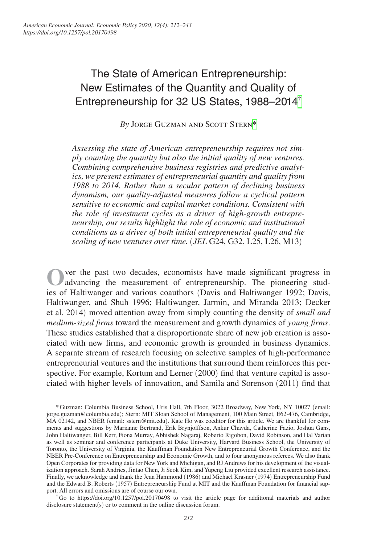# The State of American Entrepreneurship: New Estimates of the Quantity and Quality of Entrepreneurship for 32 US States, 1988–2014[†](#page-0-0)

*By* Jorge Guzman and Scott Stern[\\*](#page-0-1)

*Assessing the state of American entrepreneurship requires not simply counting the quantity but also the initial quality of new ventures. Combining comprehensive business registries and predictive analytics, we present estimates of entrepreneurial quantity and quality from 1988 to 2014. Rather than a secular pattern of declining business dynamism, our quality-adjusted measures follow a cyclical pattern sensitive to economic and capital market conditions. Consistent with the role of investment cycles as a driver of high-growth entrepreneurship, our results highlight the role of economic and institutional conditions as a driver of both initial entrepreneurial quality and the scaling of new ventures over time.* (*JEL* G24, G32, L25, L26, M13)

ver the past two decades, economists have made significant progress in advancing the measurement of entrepreneurship. The pioneering studies of Haltiwanger and various coauthors (Davis and Haltiwanger 1992; Davis, Haltiwanger, and Shuh 1996; Haltiwanger, Jarmin, and Miranda 2013; Decker et al. 2014) moved attention away from simply counting the density of *small and medium-sized firms* toward the measurement and growth dynamics of *young firms*. These studies established that a disproportionate share of new job creation is associated with new firms, and economic growth is grounded in business dynamics. A separate stream of research focusing on selective samples of high-performance entrepreneurial ventures and the institutions that surround them reinforces this perspective. For example, Kortum and Lerner (2000) find that venture capital is associated with higher levels of innovation, and Samila and Sorenson (2011) find that

<span id="page-0-1"></span>\*Guzman: Columbia Business School, Uris Hall, 7th Floor, 3022 Broadway, New York, NY 10027 (email: [jorge.guzman@columbia.edu](mailto:jorge.guzman@columbia.edu)); Stern: MIT Sloan School of Management, 100 Main Street, E62-476, Cambridge, MA 02142, and NBER (email: [sstern@mit.edu](mailto:sstern@mit.edu)). Kate Ho was coeditor for this article. We are thankful for comments and suggestions by Marianne Bertrand, Erik Brynjolffson, Ankur Chavda, Catherine Fazio, Joshua Gans, John Haltiwanger, Bill Kerr, Fiona Murray, Abhishek Nagaraj, Roberto Rigobon, David Robinson, and Hal Varian as well as seminar and conference participants at Duke University, Harvard Business School, the University of Toronto, the University of Virginia, the Kauffman Foundation New Entrepreneurial Growth Conference, and the NBER Pre-Conference on Entrepreneurship and Economic Growth, and to four anonymous referees. We also thank Open Corporates for providing data for New York and Michigan, and RJ Andrews for his development of the visualization approach. Sarah Andries, Jintao Chen, Ji Seok Kim, and Yupeng Liu provided excellent research assistance. Finally, we acknowledge and thank the Jean Hammond (1986) and Michael Krasner (1974) Entrepreneurship Fund and the Edward B. Roberts (1957) Entrepreneurship Fund at MIT and the Kauffman Foundation for financial support. All errors and omissions are of course our own.

<span id="page-0-0"></span>†Go to <https://doi.org/10.1257/pol.20170498>to visit the article page for additional materials and author disclosure statement(s) or to comment in the online discussion forum.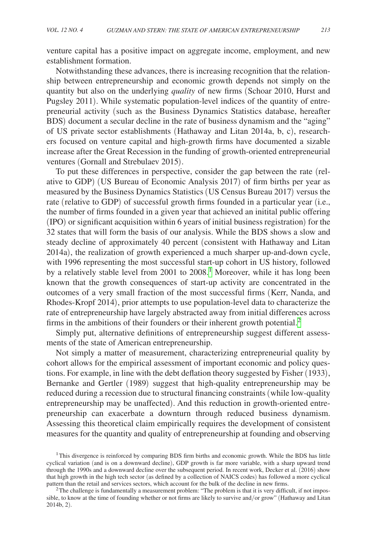venture capital has a positive impact on aggregate income, employment, and new establishment formation.

Notwithstanding these advances, there is increasing recognition that the relationship between entrepreneurship and economic growth depends not simply on the quantity but also on the underlying *quality* of new firms (Schoar 2010, Hurst and Pugsley 2011). While systematic population-level indices of the quantity of entrepreneurial activity (such as the Business Dynamics Statistics database, hereafter BDS) document a secular decline in the rate of business dynamism and the "aging" of US private sector establishments (Hathaway and Litan 2014a, b, c), researchers focused on venture capital and high-growth firms have documented a sizable increase after the Great Recession in the funding of growth-oriented entrepreneurial ventures (Gornall and Strebulaev 2015).

To put these differences in perspective, consider the gap between the rate (relative to GDP) (US Bureau of Economic Analysis 2017) of firm births per year as measured by the Business Dynamics Statistics (US Census Bureau 2017) versus the rate (relative to GDP) of successful growth firms founded in a particular year (i.e., the number of firms founded in a given year that achieved an initital public offering (IPO) or significant acquisition within 6 years of initial business registration) for the 32 states that will form the basis of our analysis. While the BDS shows a slow and steady decline of approximately 40 percent (consistent with Hathaway and Litan 2014a), the realization of growth experienced a much sharper up-and-down cycle, with 1996 representing the most successful start-up cohort in US history, followed by a relatively stable level from 200[1](#page-1-0) to 2008.<sup>1</sup> Moreover, while it has long been known that the growth consequences of start-up activity are concentrated in the outcomes of a very small fraction of the most successful firms (Kerr, Nanda, and Rhodes-Kropf 2014), prior attempts to use population-level data to characterize the rate of entrepreneurship have largely abstracted away from initial differences across firms in the ambitions of their founders or their inherent growth potential.[2](#page-1-1)

Simply put, alternative definitions of entrepreneurship suggest different assessments of the state of American entrepreneurship.

Not simply a matter of measurement, characterizing entrepreneurial quality by cohort allows for the empirical assessment of important economic and policy questions. For example, in line with the debt deflation theory suggested by Fisher (1933), Bernanke and Gertler (1989) suggest that high-quality entrepreneurship may be reduced during a recession due to structural financing constraints (while low-quality entrepreneurship may be unaffected). And this reduction in growth-oriented entrepreneurship can exacerbate a downturn through reduced business dynamism. Assessing this theoretical claim empirically requires the development of consistent measures for the quantity and quality of entrepreneurship at founding and observing

<span id="page-1-0"></span><sup>&</sup>lt;sup>1</sup>This divergence is reinforced by comparing BDS firm births and economic growth. While the BDS has little cyclical variation (and is on a downward decline), GDP growth is far more variable, with a sharp upward trend through the 1990s and a downward decline over the subsequent period. In recent work, Decker et al. (2016) show that high growth in the high tech sector (as defined by a collection of NAICS codes) has followed a more cyclical

<span id="page-1-1"></span> $<sup>2</sup>$ The challenge is fundamentally a measurement problem: "The problem is that it is very difficult, if not impos-</sup> sible, to know at the time of founding whether or not firms are likely to survive and/or grow" (Hathaway and Litan 2014b, 2).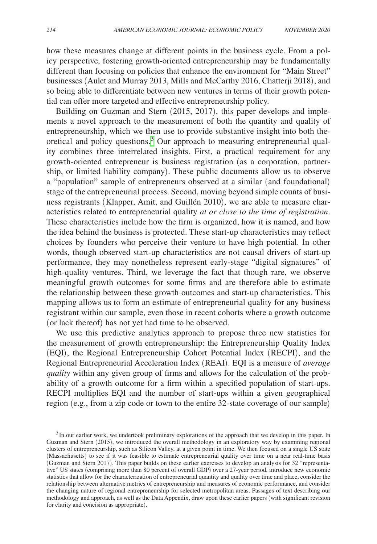how these measures change at different points in the business cycle. From a policy perspective, fostering growth-oriented entrepreneurship may be fundamentally different than focusing on policies that enhance the environment for "Main Street" businesses (Aulet and Murray 2013, Mills and McCarthy 2016, Chatterji 2018), and so being able to differentiate between new ventures in terms of their growth potential can offer more targeted and effective entrepreneurship policy.

Building on Guzman and Stern (2015, 2017), this paper develops and implements a novel approach to the measurement of both the quantity and quality of entrepreneurship, which we then use to provide substantive insight into both the-oretical and policy questions.<sup>[3](#page-2-0)</sup> Our approach to measuring entrepreneurial quality combines three interrelated insights. First, a practical requirement for any growth-oriented entrepreneur is business registration (as a corporation, partnership, or limited liability company). These public documents allow us to observe a "population" sample of entrepreneurs observed at a similar (and foundational) stage of the entrepreneurial process. Second, moving beyond simple counts of business registrants (Klapper, Amit, and Guillén 2010), we are able to measure characteristics related to entrepreneurial quality *at or close to the time of registration*. These characteristics include how the firm is organized, how it is named, and how the idea behind the business is protected. These start-up characteristics may reflect choices by founders who perceive their venture to have high potential. In other words, though observed start-up characteristics are not causal drivers of start-up performance, they may nonetheless represent early-stage "digital signatures" of high-quality ventures. Third, we leverage the fact that though rare, we observe meaningful growth outcomes for some firms and are therefore able to estimate the relationship between these growth outcomes and start-up characteristics. This mapping allows us to form an estimate of entrepreneurial quality for any business registrant within our sample, even those in recent cohorts where a growth outcome (or lack thereof) has not yet had time to be observed.

We use this predictive analytics approach to propose three new statistics for the measurement of growth entrepreneurship: the Entrepreneurship Quality Index (EQI), the Regional Entrepreneurship Cohort Potential Index (RECPI), and the Regional Entrepreneurial Acceleration Index (REAI). EQI is a measure of *average quality* within any given group of firms and allows for the calculation of the probability of a growth outcome for a firm within a specified population of start-ups. RECPI multiplies EQI and the number of start-ups within a given geographical region (e.g., from a zip code or town to the entire 32-state coverage of our sample)

<span id="page-2-0"></span><sup>&</sup>lt;sup>3</sup>In our earlier work, we undertook preliminary explorations of the approach that we develop in this paper. In Guzman and Stern (2015), we introduced the overall methodology in an exploratory way by examining regional clusters of entrepreneurship, such as Silicon Valley, at a given point in time. We then focused on a single US state (Massachusetts) to see if it was feasible to estimate entrepreneurial quality over time on a near real-time basis (Guzman and Stern 2017). This paper builds on these earlier exercises to develop an analysis for 32 "representative" US states (comprising more than 80 percent of overall GDP) over a 27-year period, introduce new economic statistics that allow for the characterization of entrepreneurial quantity and quality over time and place, consider the relationship between alternative metrics of entrepreneurship and measures of economic performance, and consider the changing nature of regional entrepreneurship for selected metropolitan areas. Passages of text describing our methodology and approach, as well as the Data Appendix, draw upon these earlier papers (with significant revision for clarity and concision as appropriate).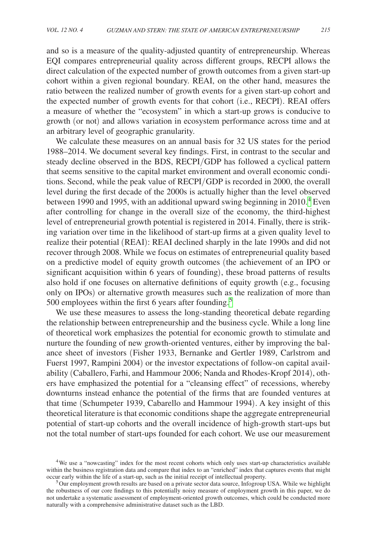and so is a measure of the quality-adjusted quantity of entrepreneurship. Whereas EQI compares entrepreneurial quality across different groups, RECPI allows the direct calculation of the expected number of growth outcomes from a given start-up cohort within a given regional boundary. REAI, on the other hand, measures the ratio between the realized number of growth events for a given start-up cohort and the expected number of growth events for that cohort (i.e., RECPI). REAI offers a measure of whether the "ecosystem" in which a start-up grows is conducive to growth (or not) and allows variation in ecosystem performance across time and at an arbitrary level of geographic granularity.

We calculate these measures on an annual basis for 32 US states for the period 1988–2014. We document several key findings. First, in contrast to the secular and steady decline observed in the BDS, RECPI/GDP has followed a cyclical pattern that seems sensitive to the capital market environment and overall economic conditions. Second, while the peak value of RECPI/GDP is recorded in 2000, the overall level during the first decade of the 2000s is actually higher than the level observed between 1990 and 1995, with an additional upward swing beginning in  $2010<sup>4</sup>$  $2010<sup>4</sup>$  $2010<sup>4</sup>$  Even after controlling for change in the overall size of the economy, the third-highest level of entrepreneurial growth potential is registered in 2014. Finally, there is striking variation over time in the likelihood of start-up firms at a given quality level to realize their potential (REAI): REAI declined sharply in the late 1990s and did not recover through 2008. While we focus on estimates of entrepreneurial quality based on a predictive model of equity growth outcomes (the achievement of an IPO or significant acquisition within 6 years of founding), these broad patterns of results also hold if one focuses on alternative definitions of equity growth (e.g., focusing only on IPOs) or alternative growth measures such as the realization of more than 500 employees within the first 6 years after founding.<sup>5</sup>

We use these measures to assess the long-standing theoretical debate regarding the relationship between entrepreneurship and the business cycle. While a long line of theoretical work emphasizes the potential for economic growth to stimulate and nurture the founding of new growth-oriented ventures, either by improving the balance sheet of investors (Fisher 1933, Bernanke and Gertler 1989, Carlstrom and Fuerst 1997, Rampini 2004) or the investor expectations of follow-on capital availability (Caballero, Farhi, and Hammour 2006; Nanda and Rhodes-Kropf 2014), others have emphasized the potential for a "cleansing effect" of recessions, whereby downturns instead enhance the potential of the firms that are founded ventures at that time (Schumpeter 1939, Cabarello and Hammour 1994). A key insight of this theoretical literature is that economic conditions shape the aggregate entrepreneurial potential of start-up cohorts and the overall incidence of high-growth start-ups but not the total number of start-ups founded for each cohort. We use our measurement

<span id="page-3-0"></span><sup>4</sup>We use a "nowcasting" index for the most recent cohorts which only uses start-up characteristics available within the business registration data and compare that index to an "enriched" index that captures events that might occur early within the life of a start-up, such as the initial receipt of intellectual property.

<span id="page-3-1"></span> $<sup>5</sup>$ Our employment growth results are based on a private sector data source, Infogroup USA. While we highlight</sup> the robustness of our core findings to this potentially noisy measure of employment growth in this paper, we do not undertake a systematic assessment of employment-oriented growth outcomes, which could be conducted more naturally with a comprehensive administrative dataset such as the LBD.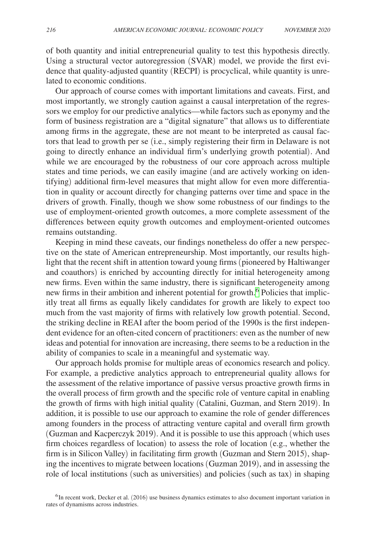of both quantity and initial entrepreneurial quality to test this hypothesis directly. Using a structural vector autoregression (SVAR) model, we provide the first evidence that quality-adjusted quantity (RECPI) is procyclical, while quantity is unrelated to economic conditions.

Our approach of course comes with important limitations and caveats. First, and most importantly, we strongly caution against a causal interpretation of the regressors we employ for our predictive analytics—while factors such as eponymy and the form of business registration are a "digital signature" that allows us to differentiate among firms in the aggregate, these are not meant to be interpreted as causal factors that lead to growth per se (i.e., simply registering their firm in Delaware is not going to directly enhance an individual firm's underlying growth potential). And while we are encouraged by the robustness of our core approach across multiple states and time periods, we can easily imagine (and are actively working on identifying) additional firm-level measures that might allow for even more differentiation in quality or account directly for changing patterns over time and space in the drivers of growth. Finally, though we show some robustness of our findings to the use of employment-oriented growth outcomes, a more complete assessment of the differences between equity growth outcomes and employment-oriented outcomes remains outstanding.

Keeping in mind these caveats, our findings nonetheless do offer a new perspective on the state of American entrepreneurship. Most importantly, our results highlight that the recent shift in attention toward young firms (pioneered by Haltiwanger and coauthors) is enriched by accounting directly for initial heterogeneity among new firms. Even within the same industry, there is significant heterogeneity among new firms in their ambition and inherent potential for growth.<sup>[6](#page-4-0)</sup> Policies that implicitly treat all firms as equally likely candidates for growth are likely to expect too much from the vast majority of firms with relatively low growth potential. Second, the striking decline in REAI after the boom period of the 1990s is the first independent evidence for an often-cited concern of practitioners: even as the number of new ideas and potential for innovation are increasing, there seems to be a reduction in the ability of companies to scale in a meaningful and systematic way.

Our approach holds promise for multiple areas of economics research and policy. For example, a predictive analytics approach to entrepreneurial quality allows for the assessment of the relative importance of passive versus proactive growth firms in the overall process of firm growth and the specific role of venture capital in enabling the growth of firms with high initial quality (Catalini, Guzman, and Stern 2019). In addition, it is possible to use our approach to examine the role of gender differences among founders in the process of attracting venture capital and overall firm growth (Guzman and Kacperczyk 2019). And it is possible to use this approach (which uses firm choices regardless of location) to assess the role of location (e.g., whether the firm is in Silicon Valley) in facilitating firm growth (Guzman and Stern 2015), shaping the incentives to migrate between locations (Guzman 2019), and in assessing the role of local institutions (such as universities) and policies (such as tax) in shaping

<span id="page-4-0"></span><sup>&</sup>lt;sup>6</sup>In recent work, Decker et al. (2016) use business dynamics estimates to also document important variation in rates of dynamisms across industries.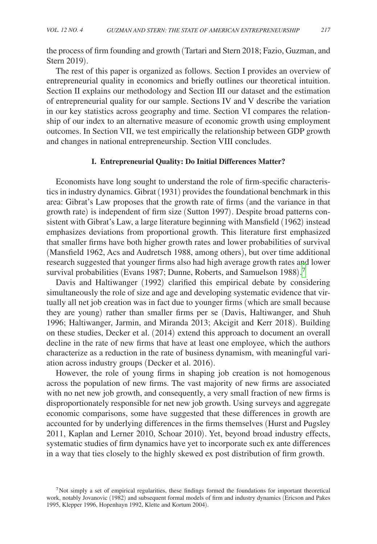the process of firm founding and growth (Tartari and Stern 2018; Fazio, Guzman, and Stern 2019).

The rest of this paper is organized as follows. Section I provides an overview of entrepreneurial quality in economics and briefly outlines our theoretical intuition. Section II explains our methodology and Section III our dataset and the estimation of entrepreneurial quality for our sample. Sections IV and V describe the variation in our key statistics across geography and time. Section VI compares the relationship of our index to an alternative measure of economic growth using employment outcomes. In Section VII, we test empirically the relationship between GDP growth and changes in national entrepreneurship. Section VIII concludes.

### **I. Entrepreneurial Quality: Do Initial Differences Matter?**

Economists have long sought to understand the role of firm-specific characteristics in industry dynamics. Gibrat (1931) provides the foundational benchmark in this area: Gibrat's Law proposes that the growth rate of firms (and the variance in that growth rate) is independent of firm size (Sutton 1997). Despite broad patterns consistent with Gibrat's Law, a large literature beginning with Mansfield (1962) instead emphasizes deviations from proportional growth. This literature first emphasized that smaller firms have both higher growth rates and lower probabilities of survival (Mansfield 1962, Acs and Audretsch 1988, among others), but over time additional research suggested that younger firms also had high average growth rates and lower survival probabilities (Evans 198[7](#page-5-0); Dunne, Roberts, and Samuelson 1988).<sup>7</sup>

Davis and Haltiwanger (1992) clarified this empirical debate by considering simultaneously the role of size and age and developing systematic evidence that virtually all net job creation was in fact due to younger firms (which are small because they are young) rather than smaller firms per se (Davis, Haltiwanger, and Shuh 1996; Haltiwanger, Jarmin, and Miranda 2013; Akcigit and Kerr 2018). Building on these studies, Decker et al. (2014) extend this approach to document an overall decline in the rate of new firms that have at least one employee, which the authors characterize as a reduction in the rate of business dynamism, with meaningful variation across industry groups (Decker et al. 2016).

However, the role of young firms in shaping job creation is not homogenous across the population of new firms. The vast majority of new firms are associated with no net new job growth, and consequently, a very small fraction of new firms is disproportionately responsible for net new job growth. Using surveys and aggregate economic comparisons, some have suggested that these differences in growth are accounted for by underlying differences in the firms themselves (Hurst and Pugsley 2011, Kaplan and Lerner 2010, Schoar 2010). Yet, beyond broad industry effects, systematic studies of firm dynamics have yet to incorporate such ex ante differences in a way that ties closely to the highly skewed ex post distribution of firm growth.

<span id="page-5-0"></span> $<sup>7</sup>$ Not simply a set of empirical regularities, these findings formed the foundations for important theoretical</sup> work, notably Jovanovic (1982) and subsequent formal models of firm and industry dynamics (Ericson and Pakes 1995, Klepper 1996, Hopenhayn 1992, Klette and Kortum 2004).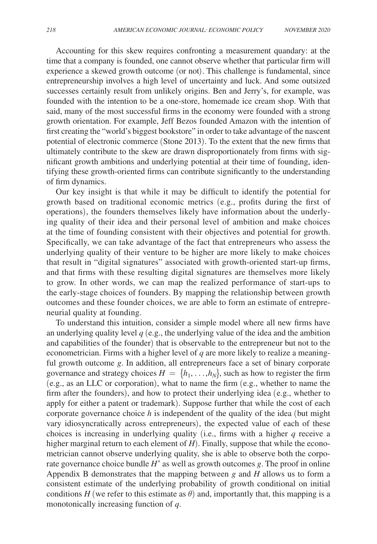Accounting for this skew requires confronting a measurement quandary: at the time that a company is founded, one cannot observe whether that particular firm will experience a skewed growth outcome (or not). This challenge is fundamental, since entrepreneurship involves a high level of uncertainty and luck. And some outsized successes certainly result from unlikely origins. Ben and Jerry's, for example, was founded with the intention to be a one-store, homemade ice cream shop. With that said, many of the most successful firms in the economy were founded with a strong growth orientation. For example, Jeff Bezos founded Amazon with the intention of first creating the "world's biggest bookstore" in order to take advantage of the nascent potential of electronic commerce (Stone 2013). To the extent that the new firms that ultimately contribute to the skew are drawn disproportionately from firms with significant growth ambitions and underlying potential at their time of founding, identifying these growth-oriented firms can contribute significantly to the understanding of firm dynamics.

Our key insight is that while it may be difficult to identify the potential for growth based on traditional economic metrics (e.g., profits during the first of operations), the founders themselves likely have information about the underlying quality of their idea and their personal level of ambition and make choices at the time of founding consistent with their objectives and potential for growth. Specifically, we can take advantage of the fact that entrepreneurs who assess the underlying quality of their venture to be higher are more likely to make choices that result in "digital signatures" associated with growth-oriented start-up firms, and that firms with these resulting digital signatures are themselves more likely to grow. In other words, we can map the realized performance of start-ups to the early-stage choices of founders. By mapping the relationship between growth outcomes and these founder choices, we are able to form an estimate of entrepreneurial quality at founding.

To understand this intuition, consider a simple model where all new firms have an underlying quality level *q* (e.g., the underlying value of the idea and the ambition and capabilities of the founder) that is observable to the entrepreneur but not to the econometrician. Firms with a higher level of *q* are more likely to realize a meaningful growth outcome *g*. In addition, all entrepreneurs face a set of binary corporate governance and strategy choices  $H = \{h_1, \ldots, h_N\}$ , such as how to register the firm (e.g., as an LLC or corporation), what to name the firm (e.g., whether to name the firm after the founders), and how to protect their underlying idea (e.g., whether to apply for either a patent or trademark). Suppose further that while the cost of each corporate governance choice *h* is independent of the quality of the idea (but might vary idiosyncratically across entrepreneurs), the expected value of each of these choices is increasing in underlying quality (i.e., firms with a higher *q* receive a higher marginal return to each element of *H*). Finally, suppose that while the econometrician cannot observe underlying quality, she is able to observe both the corporate governance choice bundle  $H^*$  as well as growth outcomes  $g$ . The proof in online Appendix B demonstrates that the mapping between *g* and *H* allows us to form a consistent estimate of the underlying probability of growth conditional on initial conditions  $H$  (we refer to this estimate as  $\theta$ ) and, importantly that, this mapping is a monotonically increasing function of *q*.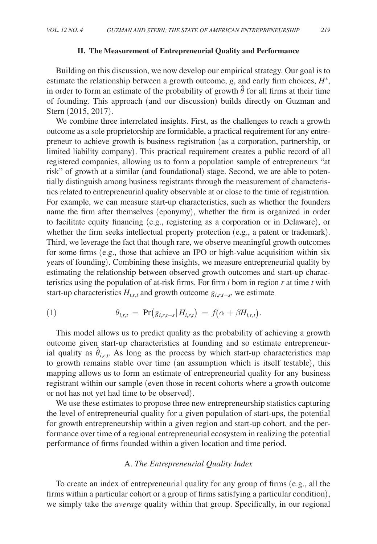### **II. The Measurement of Entrepreneurial Quality and Performance**

Building on this discussion, we now develop our empirical strategy. Our goal is to estimate the relationship between a growth outcome,  $g$ , and early firm choices,  $H^*$ , in order to form an estimate of the probability of growth  $\hat{\theta}$  for all firms at their time of founding. This approach (and our discussion) builds directly on Guzman and Stern (2015, 2017).

We combine three interrelated insights. First, as the challenges to reach a growth outcome as a sole proprietorship are formidable, a practical requirement for any entrepreneur to achieve growth is business registration (as a corporation, partnership, or limited liability company). This practical requirement creates a public record of all registered companies, allowing us to form a population sample of entrepreneurs "at risk" of growth at a similar (and foundational) stage. Second, we are able to potentially distinguish among business registrants through the measurement of characteristics related to entrepreneurial quality observable at or close to the time of registration*.*  For example, we can measure start-up characteristics, such as whether the founders name the firm after themselves (eponymy), whether the firm is organized in order to facilitate equity financing (e.g., registering as a corporation or in Delaware), or whether the firm seeks intellectual property protection (e.g., a patent or trademark). Third, we leverage the fact that though rare, we observe meaningful growth outcomes for some firms (e.g., those that achieve an IPO or high-value acquisition within six years of founding). Combining these insights, we measure entrepreneurial quality by estimating the relationship between observed growth outcomes and start-up characteristics using the population of at-risk firms. For firm *i* born in region *r* at time *t* with start-up characteristics  $H_{i,r,t}$  and growth outcome  $g_{i,r,t+s}$ , we estimate

(1) 
$$
\theta_{i,r,t} = \Pr(g_{i,r,t+s}|H_{i,r,t}) = f(\alpha + \beta H_{i,r,t}).
$$

This model allows us to predict quality as the probability of achieving a growth outcome given start-up characteristics at founding and so estimate entrepreneurial quality as  $\hat{\theta}_{i,r,t}$ . As long as the process by which start-up characteristics map to growth remains stable over time (an assumption which is itself testable), this mapping allows us to form an estimate of entrepreneurial quality for any business registrant within our sample (even those in recent cohorts where a growth outcome or not has not yet had time to be observed).

We use these estimates to propose three new entrepreneurship statistics capturing the level of entrepreneurial quality for a given population of start-ups, the potential for growth entrepreneurship within a given region and start-up cohort, and the performance over time of a regional entrepreneurial ecosystem in realizing the potential performance of firms founded within a given location and time period.

### A. *The Entrepreneurial Quality Index*

To create an index of entrepreneurial quality for any group of firms (e.g., all the firms within a particular cohort or a group of firms satisfying a particular condition), we simply take the *average* quality within that group. Specifically, in our regional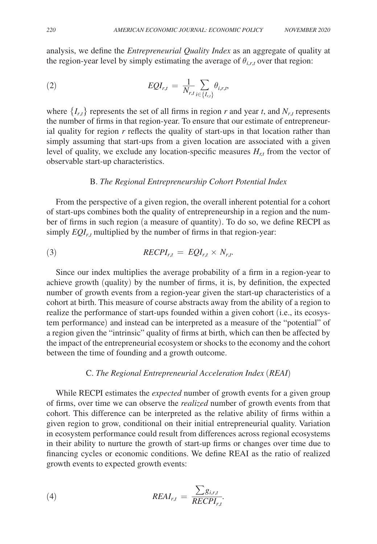analysis, we define the *Entrepreneurial Quality Index* as an aggregate of quality at the region-year level by simply estimating the average of  $\theta_{i,r,t}$  over that region:

(2) 
$$
EQI_{r,t} = \frac{1}{N_{r,t}} \sum_{i \in \{I_{r,t}\}} \theta_{i,r,t},
$$

where  $\{I_{r,t}\}$  represents the set of all firms in region *r* and year *t*, and  $N_{r,t}$  represents the number of firms in that region-year. To ensure that our estimate of entrepreneurial quality for region *r* reflects the quality of start-ups in that location rather than simply assuming that start-ups from a given location are associated with a given level of quality, we exclude any location-specific measures  $H_{rt}$  from the vector of observable start-up characteristics.

### B. *The Regional Entrepreneurship Cohort Potential Index*

From the perspective of a given region, the overall inherent potential for a cohort of start-ups combines both the quality of entrepreneurship in a region and the number of firms in such region (a measure of quantity). To do so, we define RECPI as simply  $EQI_{r,t}$  multiplied by the number of firms in that region-year:

$$
RECPI_{r,t} = EQI_{r,t} \times N_{r,t}.
$$

Since our index multiplies the average probability of a firm in a region-year to achieve growth (quality) by the number of firms, it is, by definition, the expected number of growth events from a region-year given the start-up characteristics of a cohort at birth. This measure of course abstracts away from the ability of a region to realize the performance of start-ups founded within a given cohort (i.e., its ecosystem performance) and instead can be interpreted as a measure of the "potential" of a region given the "intrinsic" quality of firms at birth, which can then be affected by the impact of the entrepreneurial ecosystem or shocks to the economy and the cohort between the time of founding and a growth outcome.

### C. *The Regional Entrepreneurial Acceleration Index* (*REAI*)

While RECPI estimates the *expected* number of growth events for a given group of firms, over time we can observe the *realized* number of growth events from that cohort. This difference can be interpreted as the relative ability of firms within a given region to grow, conditional on their initial entrepreneurial quality. Variation in ecosystem performance could result from differences across regional ecosystems in their ability to nurture the growth of start-up firms or changes over time due to financing cycles or economic conditions. We define REAI as the ratio of realized growth events to expected growth events:

$$
REAI_{r,t} = \frac{\sum g_{i,r,t}}{RECI_{r,t}}.
$$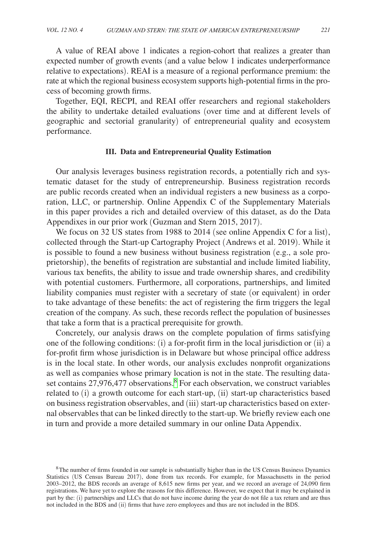A value of REAI above 1 indicates a region-cohort that realizes a greater than expected number of growth events (and a value below 1 indicates underperformance relative to expectations). REAI is a measure of a regional performance premium: the rate at which the regional business ecosystem supports high-potential firms in the process of becoming growth firms.

Together, EQI, RECPI, and REAI offer researchers and regional stakeholders the ability to undertake detailed evaluations (over time and at different levels of geographic and sectorial granularity) of entrepreneurial quality and ecosystem performance.

### **III. Data and Entrepreneurial Quality Estimation**

Our analysis leverages business registration records, a potentially rich and systematic dataset for the study of entrepreneurship. Business registration records are public records created when an individual registers a new business as a corporation, LLC, or partnership. Online Appendix C of the Supplementary Materials in this paper provides a rich and detailed overview of this dataset, as do the Data Appendixes in our prior work (Guzman and Stern 2015, 2017).

We focus on 32 US states from 1988 to 2014 (see online Appendix C for a list), collected through the Start-up Cartography Project (Andrews et al. 2019). While it is possible to found a new business without business registration (e.g., a sole proprietorship), the benefits of registration are substantial and include limited liability, various tax benefits, the ability to issue and trade ownership shares, and credibility with potential customers. Furthermore, all corporations, partnerships, and limited liability companies must register with a secretary of state (or equivalent) in order to take advantage of these benefits: the act of registering the firm triggers the legal creation of the company. As such, these records reflect the population of businesses that take a form that is a practical prerequisite for growth.

Concretely, our analysis draws on the complete population of firms satisfying one of the following conditions: (i) a for-profit firm in the local jurisdiction or (ii) a for-profit firm whose jurisdiction is in Delaware but whose principal office address is in the local state. In other words, our analysis excludes nonprofit organizations as well as companies whose primary location is not in the state. The resulting dataset contains 27,976,477 observations.<sup>8</sup> For each observation, we construct variables related to (i) a growth outcome for each start-up, (ii) start-up characteristics based on business registration observables, and (iii) start-up characteristics based on external observables that can be linked directly to the start-up. We briefly review each one in turn and provide a more detailed summary in our online Data Appendix.

<span id="page-9-0"></span><sup>&</sup>lt;sup>8</sup>The number of firms founded in our sample is substantially higher than in the US Census Business Dynamics Statistics (US Census Bureau 2017), done from tax records. For example, for Massachusetts in the period 2003–2012, the BDS records an average of 8,615 new firms per year, and we record an average of 24,090 firm registrations. We have yet to explore the reasons for this difference. However, we expect that it may be explained in part by the: (i) partnerships and LLCs that do not have income during the year do not file a tax return and are thus not included in the BDS and (ii) firms that have zero employees and thus are not included in the BDS.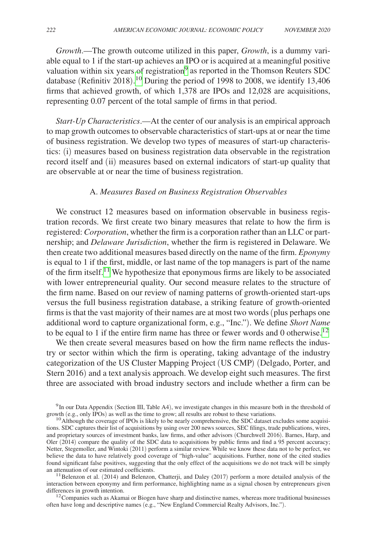*Growth*.—The growth outcome utilized in this paper, *Growth*, is a dummy variable equal to 1 if the start-up achieves an IPO or is acquired at a meaningful positive valuation within six years of registration<sup>[9](#page-10-0)</sup> as reported in the Thomson Reuters SDC database (Refinitiv 2018). [10](#page-10-1) During the period of 1998 to 2008, we identify 13,406 firms that achieved growth, of which 1,378 are IPOs and 12,028 are acquisitions, representing 0.07 percent of the total sample of firms in that period.

*Start-Up Characteristics*.—At the center of our analysis is an empirical approach to map growth outcomes to observable characteristics of start-ups at or near the time of business registration. We develop two types of measures of start-up characteristics: (i) measures based on business registration data observable in the registration record itself and (ii) measures based on external indicators of start-up quality that are observable at or near the time of business registration.

### A. *Measures Based on Business Registration Observables*

We construct 12 measures based on information observable in business registration records. We first create two binary measures that relate to how the firm is registered: *Corporation*, whether the firm is a corporation rather than an LLC or partnership; and *Delaware Jurisdiction*, whether the firm is registered in Delaware. We then create two additional measures based directly on the name of the firm. *Eponymy* is equal to 1 if the first, middle, or last name of the top managers is part of the name of the firm itself.<sup>[11](#page-10-2)</sup> We hypothesize that eponymous firms are likely to be associated with lower entrepreneurial quality. Our second measure relates to the structure of the firm name. Based on our review of naming patterns of growth-oriented start-ups versus the full business registration database, a striking feature of growth-oriented firms is that the vast majority of their names are at most two words (plus perhaps one additional word to capture organizational form, e.g., "Inc."). We define *Short Name* to be equal to 1 if the entire firm name has three or fewer words and 0 otherwise.<sup>[12](#page-10-3)</sup>

We then create several measures based on how the firm name reflects the industry or sector within which the firm is operating, taking advantage of the industry categorization of the US Cluster Mapping Project (US CMP) (Delgado, Porter, and Stern 2016) and a text analysis approach. We develop eight such measures. The first three are associated with broad industry sectors and include whether a firm can be

<span id="page-10-2"></span>interaction between eponymy and firm performance, highlighting name as a signal chosen by entrepreneurs given differences in growth intention.<br><sup>12</sup>Companies such as Akamai or Biogen have sharp and distinctive names, whereas more traditional businesses

<span id="page-10-3"></span>often have long and descriptive names (e.g., "New England Commercial Realty Advisors, Inc.").

<span id="page-10-0"></span><sup>&</sup>lt;sup>9</sup>In our Data Appendix (Section III, Table A4), we investigate changes in this measure both in the threshold of growth (e.g., only IPOs) as well as the time to grow; all results are robust to these variations.

<span id="page-10-1"></span> $^{10}$  Although the coverage of IPOs is likely to be nearly comprehensive, the SDC dataset excludes some acquisitions. SDC captures their list of acquisitions by using over 200 news sources, SEC filings, trade publications, wires, and proprietary sources of investment banks, law firms, and other advisors (Churchwell 2016). Barnes, Harp, and Oler (2014) compare the quality of the SDC data to acquisitions by public firms and find a 95 percent accuracy; Netter, Stegemoller, and Wintoki (2011) perform a similar review. While we know these data not to be perfect, we believe the data to have relatively good coverage of "high-value" acquisitions. Further, none of the cited studies found significant false positives, suggesting that the only effect of the acquisitions we do not track will be simply an attenuation of our estimated coefficients.<br>
<sup>11</sup>Belenzon et al. (2014) and Belenzon, Chatterji, and Daley (2017) perform a more detailed analysis of the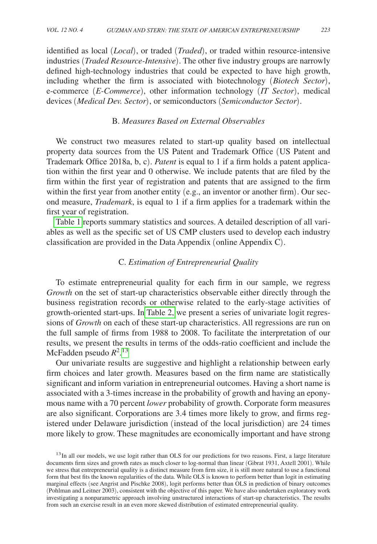identified as local (*Local*), or traded (*Traded*), or traded within resource-intensive industries (*Traded Resource-Intensive*). The other five industry groups are narrowly defined high-technology industries that could be expected to have high growth, including whether the firm is associated with biotechnology (*Biotech Sector*), e-commerce (*E-Commerce*), other information technology (*IT Sector*), medical devices (*Medical Dev. Sector*), or semiconductors (*Semiconductor Sector*).

## B. *Measures Based on External Observables*

We construct two measures related to start-up quality based on intellectual property data sources from the US Patent and Trademark Office (US Patent and Trademark Office 2018a, b, c). *Patent* is equal to 1 if a firm holds a patent application within the first year and 0 otherwise. We include patents that are filed by the firm within the first year of registration and patents that are assigned to the firm within the first year from another entity (e.g., an inventor or another firm). Our second measure, *Trademark*, is equal to 1 if a firm applies for a trademark within the first year of registration.

[Table 1](#page-12-0) reports summary statistics and sources. A detailed description of all variables as well as the specific set of US CMP clusters used to develop each industry classification are provided in the Data Appendix (online Appendix C).

# C. *Estimation of Entrepreneurial Quality*

To estimate entrepreneurial quality for each firm in our sample, we regress *Growth* on the set of start-up characteristics observable either directly through the business registration records or otherwise related to the early-stage activities of growth-oriented start-ups. In [Table 2,](#page-12-0) we present a series of univariate logit regressions of *Growth* on each of these start-up characteristics. All regressions are run on the full sample of firms from 1988 to 2008. To facilitate the interpretation of our results, we present the results in terms of the odds-ratio coefficient and include the McFadden pseudo  $R^2$ <sup>[13](#page-11-0)</sup>

Our univariate results are suggestive and highlight a relationship between early firm choices and later growth. Measures based on the firm name are statistically significant and inform variation in entrepreneurial outcomes. Having a short name is associated with a 3-times increase in the probability of growth and having an eponymous name with a 70 percent *lower* probability of growth. Corporate form measures are also significant. Corporations are 3.4 times more likely to grow, and firms registered under Delaware jurisdiction (instead of the local jurisdiction) are 24 times more likely to grow. These magnitudes are economically important and have strong

<span id="page-11-0"></span><sup>&</sup>lt;sup>13</sup>In all our models, we use logit rather than OLS for our predictions for two reasons. First, a large literature documents firm sizes and growth rates as much closer to log-normal than linear (Gibrat 1931, Axtell 2001). While we stress that entrepreneurial quality is a distinct measure from firm size, it is still more natural to use a functional form that best fits the known regularities of the data. While OLS is known to perform better than logit in estimating marginal effects (see Angrist and Pischke 2008), logit performs better than OLS in prediction of binary outcomes (Pohlman and Leitner 2003), consistent with the objective of this paper. We have also undertaken exploratory work investigating a nonparametric approach involving unstructured interactions of start-up characteristics. The results from such an exercise result in an even more skewed distribution of estimated entrepreneurial quality.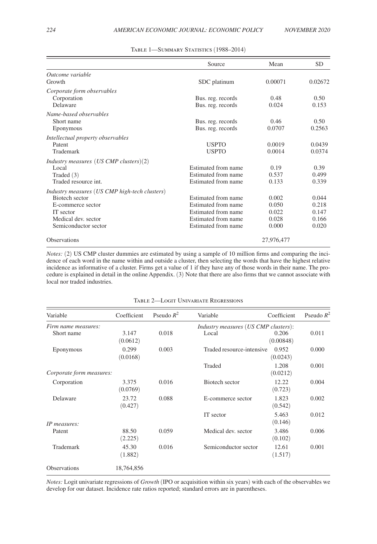Table 1—Summary Statistics (1988–2014)

<span id="page-12-0"></span>

|                                               | Source              | Mean       | <b>SD</b> |
|-----------------------------------------------|---------------------|------------|-----------|
| Outcome variable                              |                     |            |           |
| Growth                                        | SDC platinum        | 0.00071    | 0.02672   |
| Corporate form observables                    |                     |            |           |
| Corporation                                   | Bus. reg. records   | 0.48       | 0.50      |
| Delaware                                      | Bus. reg. records   | 0.024      | 0.153     |
| Name-based observables                        |                     |            |           |
| Short name                                    | Bus. reg. records   | 0.46       | 0.50      |
| Eponymous                                     | Bus. reg. records   | 0.0707     | 0.2563    |
| Intellectual property observables             |                     |            |           |
| Patent                                        | <b>USPTO</b>        | 0.0019     | 0.0439    |
| Trademark                                     | <b>USPTO</b>        | 0.0014     | 0.0374    |
| Industry measures (US CMP clusters) $(2)$     |                     |            |           |
| Local                                         | Estimated from name | 0.19       | 0.39      |
| Traded $(3)$                                  | Estimated from name | 0.537      | 0.499     |
| Traded resource int.                          | Estimated from name | 0.133      | 0.339     |
| Industry measures (US CMP high-tech clusters) |                     |            |           |
| <b>Biotech</b> sector                         | Estimated from name | 0.002      | 0.044     |
| E-commerce sector                             | Estimated from name | 0.050      | 0.218     |
| IT sector                                     | Estimated from name | 0.022      | 0.147     |
| Medical dev. sector                           | Estimated from name | 0.028      | 0.166     |
| Semiconductor sector                          | Estimated from name | 0.000      | 0.020     |
| <b>Observations</b>                           |                     | 27,976,477 |           |

*Notes:* (2) US CMP cluster dummies are estimated by using a sample of 10 million firms and comparing the incidence of each word in the name within and outside a cluster, then selecting the words that have the highest relative incidence as informative of a cluster. Firms get a value of 1 if they have any of those words in their name. The procedure is explained in detail in the online Appendix. (3) Note that there are also firms that we cannot associate with local nor traded industries.

| Variable                          | Coefficient       | Pseudo $R^2$ | Variable                                                      | Coefficient        | Pseudo $R^2$ |
|-----------------------------------|-------------------|--------------|---------------------------------------------------------------|--------------------|--------------|
| Firm name measures:<br>Short name | 3.147<br>(0.0612) | 0.018        | <i>Industry measures</i> ( <i>US CMP clusters</i> ):<br>Local | 0.206<br>(0.00848) | 0.011        |
| Eponymous                         | 0.299<br>(0.0168) | 0.003        | Traded resource-intensive                                     | 0.952<br>(0.0243)  | 0.000        |
| Corporate form measures:          |                   |              | Traded                                                        | 1.208<br>(0.0212)  | 0.001        |
| Corporation                       | 3.375<br>(0.0769) | 0.016        | Biotech sector                                                | 12.22<br>(0.723)   | 0.004        |
| Delaware                          | 23.72<br>(0.427)  | 0.088        | E-commerce sector                                             | 1.823<br>(0.542)   | 0.002        |
| IP measures:                      |                   |              | IT sector                                                     | 5.463<br>(0.146)   | 0.012        |
| Patent                            | 88.50<br>(2.225)  | 0.059        | Medical dev. sector                                           | 3.486<br>(0.102)   | 0.006        |
| Trademark                         | 45.30<br>(1.882)  | 0.016        | Semiconductor sector                                          | 12.61<br>(1.517)   | 0.001        |
| <b>Observations</b>               | 18,764,856        |              |                                                               |                    |              |

Table 2—Logit Univariate Regressions

*Notes:* Logit univariate regressions of *Growth* (IPO or acquisition within six years) with each of the observables we develop for our dataset. Incidence rate ratios reported; standard errors are in parentheses.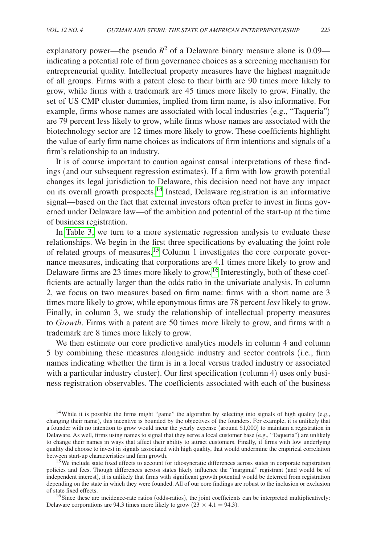explanatory power—the pseudo  $R^2$  of a Delaware binary measure alone is 0.09 indicating a potential role of firm governance choices as a screening mechanism for entrepreneurial quality. Intellectual property measures have the highest magnitude of all groups. Firms with a patent close to their birth are 90 times more likely to grow, while firms with a trademark are 45 times more likely to grow. Finally, the set of US CMP cluster dummies, implied from firm name, is also informative. For example, firms whose names are associated with local industries (e.g., "Taqueria") are 79 percent less likely to grow, while firms whose names are associated with the biotechnology sector are 12 times more likely to grow. These coefficients highlight the value of early firm name choices as indicators of firm intentions and signals of a firm's relationship to an industry.

It is of course important to caution against causal interpretations of these findings (and our subsequent regression estimates). If a firm with low growth potential changes its legal jurisdiction to Delaware, this decision need not have any impact on its overall growth prospects.[14](#page-13-0) Instead, Delaware registration is an informative signal—based on the fact that external investors often prefer to invest in firms governed under Delaware law—of the ambition and potential of the start-up at the time of business registration.

In [Table 3,](#page-14-0) we turn to a more systematic regression analysis to evaluate these relationships. We begin in the first three specifications by evaluating the joint role of related groups of measures.[15](#page-13-1) Column 1 investigates the core corporate governance measures, indicating that corporations are 4.1 times more likely to grow and Delaware firms are 23 times more likely to grow.<sup>16</sup> Interestingly, both of these coefficients are actually larger than the odds ratio in the univariate analysis. In column 2, we focus on two measures based on firm name: firms with a short name are 3 times more likely to grow, while eponymous firms are 78 percent *less* likely to grow. Finally, in column 3, we study the relationship of intellectual property measures to *Growth*. Firms with a patent are 50 times more likely to grow, and firms with a trademark are 8 times more likely to grow.

We then estimate our core predictive analytics models in column 4 and column 5 by combining these measures alongside industry and sector controls (i.e., firm names indicating whether the firm is in a local versus traded industry or associated with a particular industry cluster). Our first specification (column 4) uses only business registration observables. The coefficients associated with each of the business

<span id="page-13-0"></span><sup>14</sup>While it is possible the firms might "game" the algorithm by selecting into signals of high quality (e.g., changing their name), this incentive is bounded by the objectives of the founders. For example, it is unlikely that a founder with no intention to grow would incur the yearly expense (around \$1,000) to maintain a registration in Delaware. As well, firms using names to signal that they serve a local customer base (e.g., "Taqueria") are unlikely to change their names in ways that affect their ability to attract customers. Finally, if firms with low underlying quality did choose to invest in signals associated with high quality, that would undermine the empirical correlation between start-up characteristics and firm growth.<br><sup>15</sup>We include state fixed effects to account for idiosyncratic differences across states in corporate registration

<span id="page-13-1"></span>policies and fees. Though differences across states likely influence the "marginal" registrant (and would be of independent interest), it is unlikely that firms with significant growth potential would be deterred from registration depending on the state in which they were founded. All of our core findings are robust to the inclusion or exclusion

<span id="page-13-2"></span>of state fixed effects.<br><sup>16</sup>Since these are incidence-rate ratios (odds-ratios), the joint coefficients can be interpreted multiplicatively: Delaware corporations are 94.3 times more likely to grow  $(23 \times 4.1 = 94.3)$ .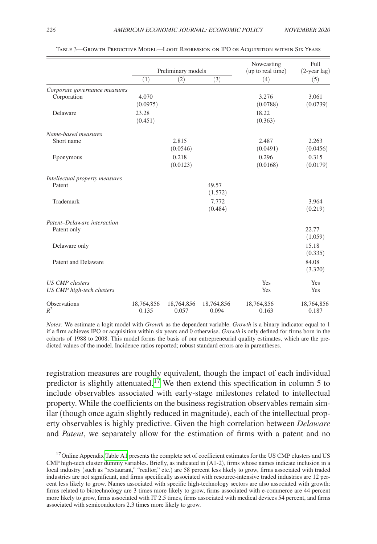|                                |            | Preliminary models |            | Nowcasting<br>(up to real time)<br>(4) | Full<br>$(2$ -year lag)<br>(5) |
|--------------------------------|------------|--------------------|------------|----------------------------------------|--------------------------------|
|                                | (1)        | (2)                | (3)        |                                        |                                |
| Corporate governance measures  |            |                    |            |                                        |                                |
| Corporation                    | 4.070      |                    |            | 3.276                                  | 3.061                          |
|                                | (0.0975)   |                    |            | (0.0788)                               | (0.0739)                       |
| Delaware                       | 23.28      |                    |            | 18.22                                  |                                |
|                                | (0.451)    |                    |            | (0.363)                                |                                |
| Name-based measures            |            |                    |            |                                        |                                |
| Short name                     |            | 2.815              |            | 2.487                                  | 2.263                          |
|                                |            | (0.0546)           |            | (0.0491)                               | (0.0456)                       |
| Eponymous                      |            | 0.218              |            | 0.296                                  | 0.315                          |
|                                |            | (0.0123)           |            | (0.0168)                               | (0.0179)                       |
| Intellectual property measures |            |                    |            |                                        |                                |
| Patent                         |            |                    | 49.57      |                                        |                                |
|                                |            |                    | (1.572)    |                                        |                                |
| Trademark                      |            |                    | 7.772      |                                        | 3.964                          |
|                                |            |                    | (0.484)    |                                        | (0.219)                        |
| Patent-Delaware interaction    |            |                    |            |                                        |                                |
| Patent only                    |            |                    |            |                                        | 22.77                          |
|                                |            |                    |            |                                        | (1.059)                        |
| Delaware only                  |            |                    |            |                                        | 15.18                          |
|                                |            |                    |            |                                        | (0.335)                        |
| Patent and Delaware            |            |                    |            |                                        | 84.08                          |
|                                |            |                    |            |                                        | (3.320)                        |
| <b>US CMP</b> clusters         |            |                    |            | Yes                                    | Yes                            |
| US CMP high-tech clusters      |            |                    |            | Yes                                    | Yes                            |
| <b>Observations</b>            | 18,764,856 | 18,764,856         | 18,764,856 | 18,764,856                             | 18,764,856                     |
| $R^2$                          | 0.135      | 0.057              | 0.094      | 0.163                                  | 0.187                          |

<span id="page-14-0"></span>Table 3—Growth Predictive Model—Logit Regression on IPO or Acquisition within Six Years

*Notes:* We estimate a logit model with *Growth* as the dependent variable. *Growth* is a binary indicator equal to 1 if a firm achieves IPO or acquisition within six years and 0 otherwise. *Growth* is only defined for firms born in the cohorts of 1988 to 2008. This model forms the basis of our entrepreneurial quality estimates, which are the predicted values of the model. Incidence ratios reported; robust standard errors are in parentheses.

registration measures are roughly equivalent, though the impact of each individual predictor is slightly attenuated.<sup>17</sup> We then extend this specification in column 5 to include observables associated with early-stage milestones related to intellectual property. While the coefficients on the business registration observables remain similar (though once again slightly reduced in magnitude), each of the intellectual property observables is highly predictive. Given the high correlation between *Delaware* and *Patent*, we separately allow for the estimation of firms with a patent and no

<span id="page-14-1"></span><sup>&</sup>lt;sup>17</sup> Online Appendix [Table A1](#page-28-0) presents the complete set of coefficient estimates for the US CMP clusters and US CMP high-tech cluster dummy variables. Briefly, as indicated in (A1-2), firms whose names indicate inclusion in a local industry (such as "restaurant," "realtor," etc.) are 58 percent less likely to grow, firms associated with traded industries are not significant, and firms specifically associated with resource-intensive traded industries are 12 percent less likely to grow. Names associated with specific high-technology sectors are also associated with growth: firms related to biotechnology are 3 times more likely to grow, firms associated with e-commerce are 44 percent more likely to grow, firms associated with IT 2.5 times, firms associated with medical devices 54 percent, and firms associated with semiconductors 2.3 times more likely to grow.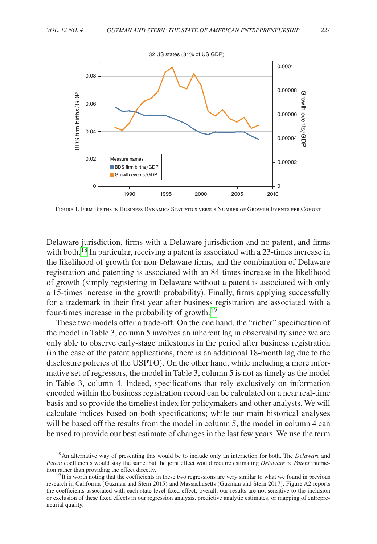<span id="page-15-2"></span>

Figure 1. Firm Births in Business Dynamics Statistics versus Number of Growth Events per Cohort

Delaware jurisdiction, firms with a Delaware jurisdiction and no patent, and firms with both.<sup>18</sup> In particular, receiving a patent is associated with a 23-times increase in the likelihood of growth for non-Delaware firms, and the combination of Delaware registration and patenting is associated with an 84-times increase in the likelihood of growth (simply registering in Delaware without a patent is associated with only a 15-times increase in the growth probability). Finally, firms applying successfully for a trademark in their first year after business registration are associated with a four-times increase in the probability of growth.<sup>[19](#page-15-1)</sup>

These two models offer a trade-off. On the one hand, the "richer" specification of the model in Table 3, column 5 involves an inherent lag in observability since we are only able to observe early-stage milestones in the period after business registration (in the case of the patent applications, there is an additional 18-month lag due to the disclosure policies of the USPTO). On the other hand, while including a more informative set of regressors, the model in Table 3, column 5 is not as timely as the model in Table 3, column 4. Indeed, specifications that rely exclusively on information encoded within the business registration record can be calculated on a near real-time basis and so provide the timeliest index for policymakers and other analysts. We will calculate indices based on both specifications; while our main historical analyses will be based off the results from the model in column 5, the model in column 4 can be used to provide our best estimate of changes in the last few years. We use the term

<span id="page-15-0"></span><sup>&</sup>lt;sup>18</sup>An alternative way of presenting this would be to include only an interaction for both. The *Delaware* and *Patent* coefficients would stay the same, but the joint effect would require estimating *Delaware* × *Patent* interaction rather than providing the effect directly.

<span id="page-15-1"></span> $19$ It is worth noting that the coefficients in these two regressions are very similar to what we found in previous research in California (Guzman and Stern 2015) and Massachusetts (Guzman and Stern 2017). Figure A2 reports the coefficients associated with each state-level fixed effect; overall, our results are not sensitive to the inclusion or exclusion of these fixed effects in our regression analysis, predictive analytic estimates, or mapping of entrepreneurial quality.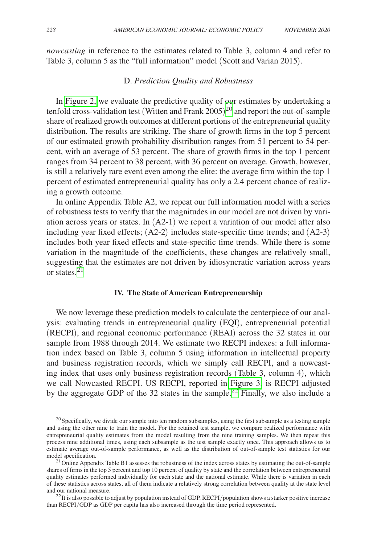*nowcasting* in reference to the estimates related to Table 3, column 4 and refer to Table 3, column 5 as the "full information" model (Scott and Varian 2015).

### D. *Prediction Quality and Robustness*

In [Figure 2,](#page-17-0) we evaluate the predictive quality of our estimates by undertaking a tenfold cross-validation test (Witten and Frank 2005) [20](#page-16-0) and report the out-of-sample share of realized growth outcomes at different portions of the entrepreneurial quality distribution. The results are striking. The share of growth firms in the top 5 percent of our estimated growth probability distribution ranges from 51 percent to 54 percent, with an average of 53 percent. The share of growth firms in the top 1 percent ranges from 34 percent to 38 percent, with 36 percent on average. Growth, however, is still a relatively rare event even among the elite: the average firm within the top 1 percent of estimated entrepreneurial quality has only a 2.4 percent chance of realizing a growth outcome.

In online Appendix Table A2, we repeat our full information model with a series of robustness tests to verify that the magnitudes in our model are not driven by variation across years or states. In (A2-1) we report a variation of our model after also including year fixed effects; (A2-2) includes state-specific time trends; and (A2-3) includes both year fixed effects and state-specific time trends. While there is some variation in the magnitude of the coefficients, these changes are relatively small, suggesting that the estimates are not driven by idiosyncratic variation across years or states<sup>[21](#page-16-1)</sup>

### **IV. The State of American Entrepreneurship**

We now leverage these prediction models to calculate the centerpiece of our analysis: evaluating trends in entrepreneurial quality (EQI), entrepreneurial potential (RECPI), and regional economic performance (REAI) across the 32 states in our sample from 1988 through 2014. We estimate two RECPI indexes: a full information index based on Table 3, column 5 using information in intellectual property and business registration records, which we simply call RECPI, and a nowcasting index that uses only business registration records (Table 3, column 4), which we call Nowcasted RECPI. US RECPI, reported in [Figure 3,](#page-17-0) is RECPI adjusted by the aggregate GDP of the 32 states in the sample.<sup>22</sup> Finally, we also include a

<span id="page-16-2"></span>than RECPI/GDP as GDP per capita has also increased through the time period represented.

<span id="page-16-0"></span> $^{20}$  Specifically, we divide our sample into ten random subsamples, using the first subsample as a testing sample and using the other nine to train the model. For the retained test sample, we compare realized performance with entrepreneurial quality estimates from the model resulting from the nine training samples. We then repeat this process nine additional times, using each subsample as the test sample exactly once. This approach allows us to estimate average out-of-sample performance, as well as the distribution of out-of-sample test statistics for our

<span id="page-16-1"></span> $^{21}$  Online Appendix Table B1 assesses the robustness of the index across states by estimating the out-of-sample shares of firms in the top 5 percent and top 10 percent of quality by state and the correlation between entrepreneurial quality estimates performed individually for each state and the national estimate. While there is variation in each of these statistics across states, all of them indicate a relatively strong correlation between quality at the state level and our national measure.<br><sup>22</sup>It is also possible to adjust by population instead of GDP. RECPI/population shows a starker positive increase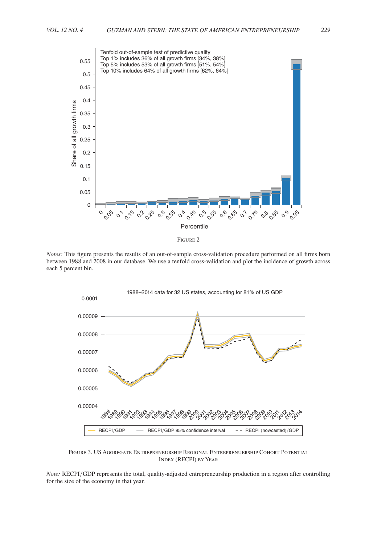<span id="page-17-0"></span>

Figure 2

*Notes:* This figure presents the results of an out-of-sample cross-validation procedure performed on all firms born between 1988 and 2008 in our database. We use a tenfold cross-validation and plot the incidence of growth across each 5 percent bin.



Figure 3. US Aggregate Entrepreneurship Regional Entreprenuership Cohort Potential Index (RECPI) by Year

*Note:* RECPI/GDP represents the total, quality-adjusted entrepreneurship production in a region after controlling for the size of the economy in that year.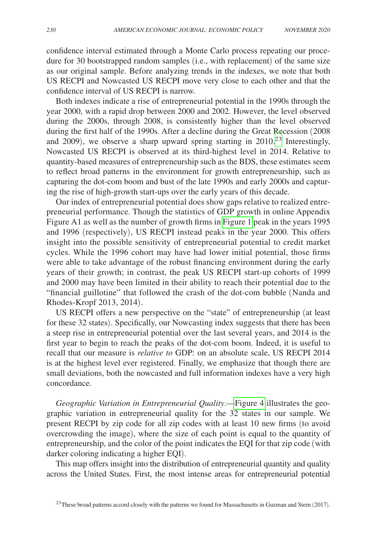confidence interval estimated through a Monte Carlo process repeating our procedure for 30 bootstrapped random samples (i.e., with replacement) of the same size as our original sample. Before analyzing trends in the indexes, we note that both US RECPI and Nowcasted US RECPI move very close to each other and that the confidence interval of US RECPI is narrow.

Both indexes indicate a rise of entrepreneurial potential in the 1990s through the year 2000, with a rapid drop between 2000 and 2002. However, the level observed during the 2000s, through 2008, is consistently higher than the level observed during the first half of the 1990s. After a decline during the Great Recession (2008 and 2009), we observe a sharp upward spring starting in  $2010<sup>23</sup>$  Interestingly, Nowcasted US RECPI is observed at its third-highest level in 2014. Relative to quantity-based measures of entrepreneurship such as the BDS, these estimates seem to reflect broad patterns in the environment for growth entrepreneurship, such as capturing the dot-com boom and bust of the late 1990s and early 2000s and capturing the rise of high-growth start-ups over the early years of this decade.

Our index of entrepreneurial potential does show gaps relative to realized entrepreneurial performance. Though the statistics of GDP growth in online Appendix Figure A1 as well as the number of growth firms in [Figure 1](#page-15-2) peak in the years 1995 and 1996 (respectively), US RECPI instead peaks in the year 2000. This offers insight into the possible sensitivity of entrepreneurial potential to credit market cycles. While the 1996 cohort may have had lower initial potential, those firms were able to take advantage of the robust financing environment during the early years of their growth; in contrast, the peak US RECPI start-up cohorts of 1999 and 2000 may have been limited in their ability to reach their potential due to the "financial guillotine" that followed the crash of the dot-com bubble (Nanda and Rhodes-Kropf 2013, 2014).

US RECPI offers a new perspective on the "state" of entrepreneurship (at least for these 32 states). Specifically, our Nowcasting index suggests that there has been a steep rise in entrepreneurial potential over the last several years, and 2014 is the first year to begin to reach the peaks of the dot-com boom. Indeed, it is useful to recall that our measure is *relative to* GDP: on an absolute scale, US RECPI 2014 is at the highest level ever registered. Finally, we emphasize that though there are small deviations, both the nowcasted and full information indexes have a very high concordance.

*Geographic Variation in Entrepreneurial Quality*.[—Figure 4](#page-19-0) illustrates the geographic variation in entrepreneurial quality for the 32 states in our sample. We present RECPI by zip code for all zip codes with at least 10 new firms (to avoid overcrowding the image), where the size of each point is equal to the quantity of entrepreneurship, and the color of the point indicates the EQI for that zip code (with darker coloring indicating a higher EQI).

This map offers insight into the distribution of entrepreneurial quantity and quality across the United States. First, the most intense areas for entrepreneurial potential

<span id="page-18-0"></span> $^{23}$ These broad patterns accord closely with the patterns we found for Massachusetts in Guzman and Stern (2017).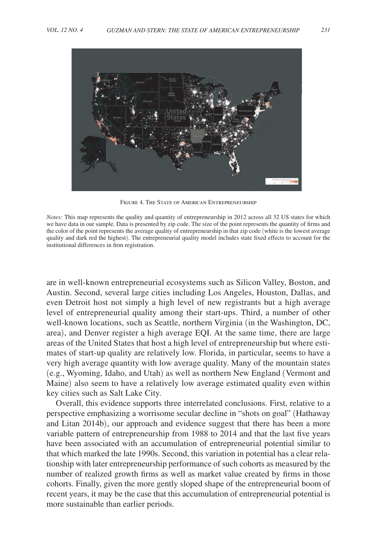<span id="page-19-0"></span>

FIGURE 4. THE STATE OF AMERICAN ENTREPRENEURSHIP

are in well-known entrepreneurial ecosystems such as Silicon Valley, Boston, and Austin. Second, several large cities including Los Angeles, Houston, Dallas, and even Detroit host not simply a high level of new registrants but a high average level of entrepreneurial quality among their start-ups. Third, a number of other well-known locations, such as Seattle, northern Virginia (in the Washington, DC, area), and Denver register a high average EQI. At the same time, there are large areas of the United States that host a high level of entrepreneurship but where estimates of start-up quality are relatively low. Florida, in particular, seems to have a very high average quantity with low average quality. Many of the mountain states (e.g., Wyoming, Idaho, and Utah) as well as northern New England (Vermont and Maine) also seem to have a relatively low average estimated quality even within key cities such as Salt Lake City.

Overall, this evidence supports three interrelated conclusions. First, relative to a perspective emphasizing a worrisome secular decline in "shots on goal" (Hathaway and Litan 2014b), our approach and evidence suggest that there has been a more variable pattern of entrepreneurship from 1988 to 2014 and that the last five years have been associated with an accumulation of entrepreneurial potential similar to that which marked the late 1990s. Second, this variation in potential has a clear relationship with later entrepreneurship performance of such cohorts as measured by the number of realized growth firms as well as market value created by firms in those cohorts. Finally, given the more gently sloped shape of the entrepreneurial boom of recent years, it may be the case that this accumulation of entrepreneurial potential is more sustainable than earlier periods.

*Notes:* This map represents the quality and quantity of entrepreneurship in 2012 across all 32 US states for which we have data in our sample. Data is presented by zip code. The size of the point represents the quantity of firms and the color of the point represents the average quality of entrepreneurship in that zip code (white is the lowest average quality and dark red the highest). The entrepreneurial quality model includes state fixed effects to account for the institutional differences in firm registration.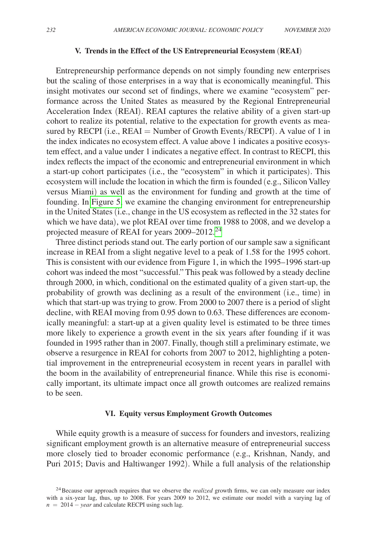#### **V. Trends in the Effect of the US Entrepreneurial Ecosystem** (**REAI**)

Entrepreneurship performance depends on not simply founding new enterprises but the scaling of those enterprises in a way that is economically meaningful. This insight motivates our second set of findings, where we examine "ecosystem" performance across the United States as measured by the Regional Entrepreneurial Acceleration Index (REAI). REAI captures the relative ability of a given start-up cohort to realize its potential, relative to the expectation for growth events as measured by RECPI (i.e.,  $REAI =$  Number of Growth Events/ $RECPI$ ). A value of 1 in the index indicates no ecosystem effect. A value above 1 indicates a positive ecosystem effect, and a value under 1 indicates a negative effect. In contrast to RECPI, this index reflects the impact of the economic and entrepreneurial environment in which a start-up cohort participates (i.e., the "ecosystem" in which it participates). This ecosystem will include the location in which the firm is founded (e.g., Silicon Valley versus Miami) as well as the environment for funding and growth at the time of founding. In [Figure 5,](#page-21-0) we examine the changing environment for entrepreneurship in the United States (i.e., change in the US ecosystem as reflected in the 32 states for which we have data), we plot REAI over time from 1988 to 2008, and we develop a projected measure of REAI for years 2009–2012[.24](#page-20-0)

Three distinct periods stand out. The early portion of our sample saw a significant increase in REAI from a slight negative level to a peak of 1.58 for the 1995 cohort. This is consistent with our evidence from Figure 1, in which the 1995–1996 start-up cohort was indeed the most "successful." This peak was followed by a steady decline through 2000, in which, conditional on the estimated quality of a given start-up, the probability of growth was declining as a result of the environment (i.e., time) in which that start-up was trying to grow. From 2000 to 2007 there is a period of slight decline, with REAI moving from 0.95 down to 0.63. These differences are economically meaningful: a start-up at a given quality level is estimated to be three times more likely to experience a growth event in the six years after founding if it was founded in 1995 rather than in 2007. Finally, though still a preliminary estimate, we observe a resurgence in REAI for cohorts from 2007 to 2012, highlighting a potential improvement in the entrepreneurial ecosystem in recent years in parallel with the boom in the availability of entrepreneurial finance. While this rise is economically important, its ultimate impact once all growth outcomes are realized remains to be seen.

### **VI. Equity versus Employment Growth Outcomes**

While equity growth is a measure of success for founders and investors, realizing significant employment growth is an alternative measure of entrepreneurial success more closely tied to broader economic performance (e.g., Krishnan, Nandy, and Puri 2015; Davis and Haltiwanger 1992). While a full analysis of the relationship

<span id="page-20-0"></span><sup>&</sup>lt;sup>24</sup> Because our approach requires that we observe the *realized* growth firms, we can only measure our index with a six-year lag, thus, up to 2008. For years 2009 to 2012, we estimate our model with a varying lag of *n* = 2014 − *year* and calculate RECPI using such lag.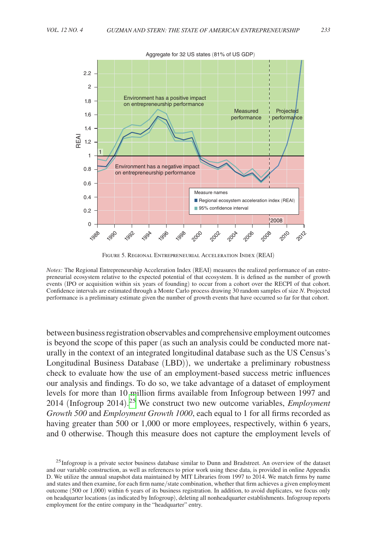<span id="page-21-0"></span>

Figure 5. Regional Entrepreneurial Acceleration Index (REAI)

*Notes:* The Regional Entrepreneurship Acceleration Index (REAI) measures the realized performance of an entrepreneurial ecosystem relative to the expected potential of that ecosystem. It is defined as the number of growth events (IPO or acquisition within six years of founding) to occur from a cohort over the RECPI of that cohort. Confidence intervals are estimated through a Monte Carlo process drawing 30 random samples of size *N*. Projected performance is a preliminary estimate given the number of growth events that have occurred so far for that cohort.

between business registration observables and comprehensive employment outcomes is beyond the scope of this paper (as such an analysis could be conducted more naturally in the context of an integrated longitudinal database such as the US Census's Longitudinal Business Database (LBD)), we undertake a preliminary robustness check to evaluate how the use of an employment-based success metric influences our analysis and findings. To do so, we take advantage of a dataset of employment levels for more than 10 million firms available from Infogroup between 1997 and 2014 (Infogroup 2014). [25](#page-21-1) We construct two new outcome variables, *Employment Growth 500* and *Employment Growth 1000*, each equal to 1 for all firms recorded as having greater than 500 or 1,000 or more employees, respectively, within 6 years, and 0 otherwise. Though this measure does not capture the employment levels of

<span id="page-21-1"></span><sup>&</sup>lt;sup>25</sup>Infogroup is a private sector business database similar to Dunn and Bradstreet. An overview of the dataset and our variable construction, as well as references to prior work using these data, is provided in online Appendix D. We utilize the annual snapshot data maintained by MIT Libraries from 1997 to 2014. We match firms by name and states and then examine, for each firm name/state combination, whether that firm achieves a given employment outcome (500 or 1,000) within 6 years of its business registration. In addition, to avoid duplicates, we focus only on headquarter locations (as indicated by Infogroup), deleting all nonheadquarter establishments. Infogroup reports employment for the entire company in the "headquarter" entry.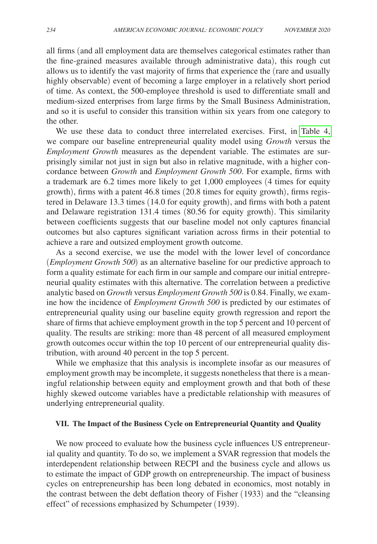all firms (and all employment data are themselves categorical estimates rather than the fine-grained measures available through administrative data), this rough cut allows us to identify the vast majority of firms that experience the (rare and usually highly observable) event of becoming a large employer in a relatively short period of time. As context, the 500-employee threshold is used to differentiate small and medium-sized enterprises from large firms by the Small Business Administration, and so it is useful to consider this transition within six years from one category to the other.

We use these data to conduct three interrelated exercises. First, in [Table 4,](#page-23-0)  we compare our baseline entrepreneurial quality model using *Growth* versus the *Employment Growth* measures as the dependent variable. The estimates are surprisingly similar not just in sign but also in relative magnitude, with a higher concordance between *Growth* and *Employment Growth 500*. For example, firms with a trademark are 6.2 times more likely to get 1,000 employees (4 times for equity growth), firms with a patent 46.8 times (20.8 times for equity growth), firms registered in Delaware 13.3 times (14.0 for equity growth), and firms with both a patent and Delaware registration 131.4 times (80.56 for equity growth). This similarity between coefficients suggests that our baseline model not only captures financial outcomes but also captures significant variation across firms in their potential to achieve a rare and outsized employment growth outcome.

As a second exercise, we use the model with the lower level of concordance (*Employment Growth 500*) as an alternative baseline for our predictive approach to form a quality estimate for each firm in our sample and compare our initial entrepreneurial quality estimates with this alternative. The correlation between a predictive analytic based on *Growth* versus *Employment Growth 500* is 0.84. Finally, we examine how the incidence of *Employment Growth 500* is predicted by our estimates of entrepreneurial quality using our baseline equity growth regression and report the share of firms that achieve employment growth in the top 5 percent and 10 percent of quality. The results are striking: more than 48 percent of all measured employment growth outcomes occur within the top 10 percent of our entrepreneurial quality distribution, with around 40 percent in the top 5 percent.

While we emphasize that this analysis is incomplete insofar as our measures of employment growth may be incomplete, it suggests nonetheless that there is a meaningful relationship between equity and employment growth and that both of these highly skewed outcome variables have a predictable relationship with measures of underlying entrepreneurial quality.

### **VII. The Impact of the Business Cycle on Entrepreneurial Quantity and Quality**

We now proceed to evaluate how the business cycle influences US entrepreneurial quality and quantity. To do so, we implement a SVAR regression that models the interdependent relationship between RECPI and the business cycle and allows us to estimate the impact of GDP growth on entrepreneurship. The impact of business cycles on entrepreneurship has been long debated in economics, most notably in the contrast between the debt deflation theory of Fisher (1933) and the "cleansing effect" of recessions emphasized by Schumpeter (1939).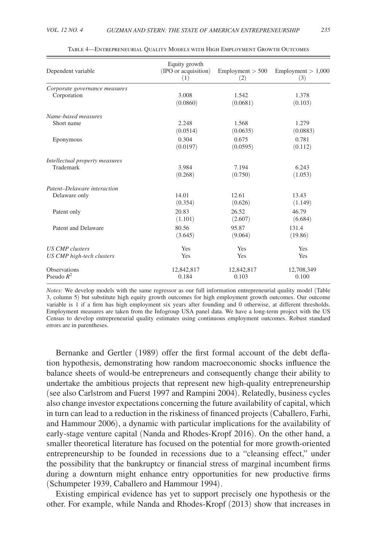<span id="page-23-0"></span>

| Dependent variable             | Equity growth<br>(IPO or acquisition)<br>(1) | Employment > 500<br>(2) | Employment > 1,000<br>(3) |
|--------------------------------|----------------------------------------------|-------------------------|---------------------------|
| Corporate governance measures  |                                              |                         |                           |
| Corporation                    | 3.008                                        | 1.542                   | 1.378                     |
|                                | (0.0860)                                     | (0.0681)                | (0.103)                   |
| Name-based measures            |                                              |                         |                           |
| Short name                     | 2.248                                        | 1.568                   | 1.279                     |
|                                | (0.0514)                                     | (0.0635)                | (0.0883)                  |
| Eponymous                      | 0.304                                        | 0.675                   | 0.781                     |
|                                | (0.0197)                                     | (0.0595)                | (0.112)                   |
| Intellectual property measures |                                              |                         |                           |
| Trademark                      | 3.984                                        | 7.194                   | 6.243                     |
|                                | (0.268)                                      | (0.750)                 | (1.053)                   |
| Patent-Delaware interaction    |                                              |                         |                           |
| Delaware only                  | 14.01                                        | 12.61                   | 13.43                     |
|                                | (0.354)                                      | (0.626)                 | (1.149)                   |
| Patent only                    | 20.83                                        | 26.52                   | 46.79                     |
|                                | (1.101)                                      | (2.607)                 | (6.684)                   |
| Patent and Delaware            | 80.56                                        | 95.87                   | 131.4                     |
|                                | (3.645)                                      | (9.064)                 | (19.86)                   |
| <b>US CMP</b> clusters         | Yes                                          | Yes                     | Yes                       |
| US CMP high-tech clusters      | Yes                                          | Yes                     | Yes                       |
| Observations                   | 12,842,817                                   | 12,842,817              | 12,708,349                |
| Pseudo $R^2$                   | 0.184                                        | 0.103                   | 0.100                     |

Table 4—Entrepreneurial Quality Models with High Employment Growth Outcomes

*Notes:* We develop models with the same regressor as our full information entrepreneurial quality model (Table 3, column 5) but substitute high equity growth outcomes for high employment growth outcomes. Our outcome variable is 1 if a firm has high employment six years after founding and 0 otherwise, at different thresholds. Employment measures are taken from the Infogroup USA panel data. We have a long-term project with the US Census to develop entrepreneurial quality estimates using continuous employment outcomes. Robust standard errors are in parentheses.

Bernanke and Gertler (1989) offer the first formal account of the debt deflation hypothesis, demonstrating how random macroeconomic shocks influence the balance sheets of would-be entrepreneurs and consequently change their ability to undertake the ambitious projects that represent new high-quality entrepreneurship (see also Carlstrom and Fuerst 1997 and Rampini 2004). Relatedly, business cycles also change investor expectations concerning the future availability of capital, which in turn can lead to a reduction in the riskiness of financed projects (Caballero, Farhi, and Hammour 2006), a dynamic with particular implications for the availability of early-stage venture capital (Nanda and Rhodes-Kropf 2016). On the other hand, a smaller theoretical literature has focused on the potential for more growth-oriented entrepreneurship to be founded in recessions due to a "cleansing effect," under the possibility that the bankruptcy or financial stress of marginal incumbent firms during a downturn might enhance entry opportunities for new productive firms (Schumpeter 1939, Caballero and Hammour 1994).

Existing empirical evidence has yet to support precisely one hypothesis or the other. For example, while Nanda and Rhodes-Kropf (2013) show that increases in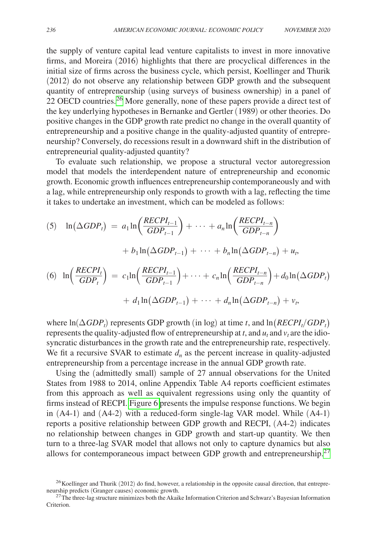the supply of venture capital lead venture capitalists to invest in more innovative firms, and Moreira (2016) highlights that there are procyclical differences in the initial size of firms across the business cycle, which persist, Koellinger and Thurik (2012) do not observe any relationship between GDP growth and the subsequent quantity of entrepreneurship (using surveys of business ownership) in a panel of 22 OECD countries.[26](#page-24-0) More generally, none of these papers provide a direct test of the key underlying hypotheses in Bernanke and Gertler (1989) or other theories. Do positive changes in the GDP growth rate predict no change in the overall quantity of entrepreneurship and a positive change in the quality-adjusted quantity of entrepreneurship? Conversely, do recessions result in a downward shift in the distribution of entrepreneurial quality-adjusted quantity?

To evaluate such relationship, we propose a structural vector autoregression model that models the interdependent nature of entrepreneurship and economic growth. Economic growth influences entrepreneurship contemporaneously and with a lag, while entrepreneurship only responds to growth with a lag, reflecting the time it takes to undertake an investment, which can be modeled as follows:

(5) 
$$
\ln(\Delta GDP_t) = a_1 \ln \left( \frac{RECPI_{t-1}}{GDP_{t-1}} \right) + \dots + a_n \ln \left( \frac{RECPI_{t-n}}{GDP_{t-n}} \right)
$$

$$
+ b_1 \ln(\Delta GDP_{t-1}) + \dots + b_n \ln(\Delta GDP_{t-n}) + u_t,
$$
  
(6) 
$$
\ln \left( \frac{RECPI_t}{GDP_t} \right) = c_1 \ln \left( \frac{RECPI_{t-1}}{GDP_{t-1}} \right) + \dots + c_n \ln \left( \frac{RECPI_{t-n}}{GDP_{t-n}} \right) + d_0 \ln(\Delta GDP_t)
$$

$$
+ d_1 \ln(\Delta GDP_{t-1}) + \dots + d_n \ln(\Delta GDP_{t-n}) + v_t,
$$

where  $\ln(\Delta GDP_t)$  represents GDP growth (in log) at time *t*, and  $\ln(RECPI_t/GDP_t)$ represents the quality-adjusted flow of entrepreneurship at  $t$ , and  $u_t$  and  $v_t$  are the idiosyncratic disturbances in the growth rate and the entrepreneurship rate, respectively. We fit a recursive SVAR to estimate  $d_n$  as the percent increase in quality-adjusted entrepreneurship from a percentage increase in the annual GDP growth rate.

Using the (admittedly small) sample of 27 annual observations for the United States from 1988 to 2014, online Appendix Table A4 reports coefficient estimates from this approach as well as equivalent regressions using only the quantity of firms instead of RECPI. [Figure 6](#page-25-0) presents the impulse response functions. We begin in (A4-1) and (A4-2) with a reduced-form single-lag VAR model. While (A4-1) reports a positive relationship between GDP growth and RECPI, (A4-2) indicates no relationship between changes in GDP growth and start-up quantity. We then turn to a three-lag SVAR model that allows not only to capture dynamics but also allows for contemporaneous impact between GDP growth and entrepreneurship.<sup>27</sup>

<span id="page-24-0"></span> $^{26}$ Koellinger and Thurik (2012) do find, however, a relationship in the opposite causal direction, that entrepre-<br>neurship predicts (Granger causes) economic growth.

<span id="page-24-1"></span> $^{27}$ The three-lag structure minimizes both the Akaike Information Criterion and Schwarz's Bayesian Information Criterion.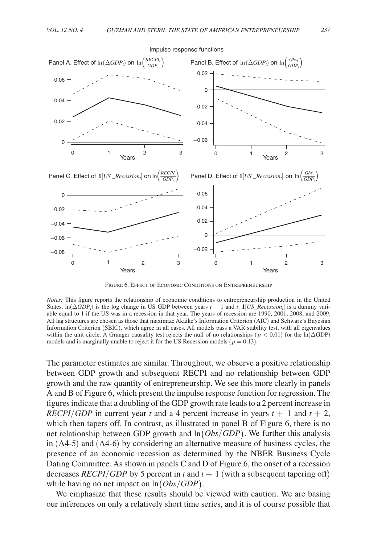<span id="page-25-0"></span>

FIGURE 6. EFFECT OF ECONOMIC CONDITIONS ON ENTREPRENEURSHIP

*Notes:* This figure reports the relationship of economic conditions to entrepreneurship production in the United States.  $\ln(\Delta GDP_t)$  is the log change in US GDP between years  $t - 1$  and  $t$ . **1**[*US\_Recession<sub>t</sub>*] is a dummy variable equal to 1 if the US was in a recession in that year. The years of recession are 1990, 2001, 2008, and 2009. All lag structures are chosen as those that maximize Akaike's Information Criterion (AIC) and Schwarz's Bayesian Information Criterion (SBIC), which agree in all cases. All models pass a VAR stability test, with all eigenvalues within the unit circle. A Granger causality test rejects the null of no relationships ( $p < 0.01$ ) for the ln( $\Delta$ GDP) models and is marginally unable to reject it for the US Recession models  $(p = 0.13)$ .

The parameter estimates are similar. Throughout, we observe a positive relationship between GDP growth and subsequent RECPI and no relationship between GDP growth and the raw quantity of entrepreneurship. We see this more clearly in panels A and B of Figure 6, which present the impulse response function for regression. The figures indicate that a doubling of the GDP growth rate leads to a 2 percent increase in *RECPI*/*GDP* in current year *t* and a 4 percent increase in years  $t + 1$  and  $t + 2$ , which then tapers off. In contrast, as illustrated in panel B of Figure 6, there is no net relationship between GDP growth and ln(*Obs*/*GDP*). We further this analysis in (A4-5) and (A4-6) by considering an alternative measure of business cycles, the presence of an economic recession as determined by the NBER Business Cycle Dating Committee. As shown in panels C and D of Figure 6, the onset of a recession decreases *RECPI*/*GDP* by 5 percent in *t* and  $t + 1$  (with a subsequent tapering off) while having no net impact on ln(*Obs*/*GDP*).

We emphasize that these results should be viewed with caution. We are basing our inferences on only a relatively short time series, and it is of course possible that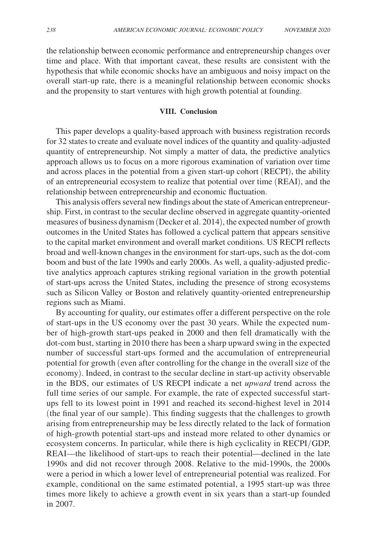the relationship between economic performance and entrepreneurship changes over time and place. With that important caveat, these results are consistent with the hypothesis that while economic shocks have an ambiguous and noisy impact on the overall start-up rate, there is a meaningful relationship between economic shocks and the propensity to start ventures with high growth potential at founding.

### **VIII. Conclusion**

This paper develops a quality-based approach with business registration records for 32 states to create and evaluate novel indices of the quantity and quality-adjusted quantity of entrepreneurship. Not simply a matter of data, the predictive analytics approach allows us to focus on a more rigorous examination of variation over time and across places in the potential from a given start-up cohort (RECPI), the ability of an entrepreneurial ecosystem to realize that potential over time (REAI), and the relationship between entrepreneurship and economic fluctuation.

This analysis offers several new findings about the state of American entrepreneurship. First, in contrast to the secular decline observed in aggregate quantity-oriented measures of business dynamism (Decker et al. 2014), the expected number of growth outcomes in the United States has followed a cyclical pattern that appears sensitive to the capital market environment and overall market conditions. US RECPI reflects broad and well-known changes in the environment for start-ups, such as the dot-com boom and bust of the late 1990s and early 2000s. As well, a quality-adjusted predictive analytics approach captures striking regional variation in the growth potential of start-ups across the United States, including the presence of strong ecosystems such as Silicon Valley or Boston and relatively quantity-oriented entrepreneurship regions such as Miami.

By accounting for quality, our estimates offer a different perspective on the role of start-ups in the US economy over the past 30 years. While the expected number of high-growth start-ups peaked in 2000 and then fell dramatically with the dot-com bust, starting in 2010 there has been a sharp upward swing in the expected number of successful start-ups formed and the accumulation of entrepreneurial potential for growth (even after controlling for the change in the overall size of the economy). Indeed, in contrast to the secular decline in start-up activity observable in the BDS, our estimates of US RECPI indicate a net *upward* trend across the full time series of our sample. For example, the rate of expected successful startups fell to its lowest point in 1991 and reached its second-highest level in 2014 (the final year of our sample). This finding suggests that the challenges to growth arising from entrepreneurship may be less directly related to the lack of formation of high-growth potential start-ups and instead more related to other dynamics or ecosystem concerns. In particular, while there is high cyclicality in RECPI/GDP, REAI—the likelihood of start-ups to reach their potential—declined in the late 1990s and did not recover through 2008. Relative to the mid-1990s, the 2000s were a period in which a lower level of entrepreneurial potential was realized. For example, conditional on the same estimated potential, a 1995 start-up was three times more likely to achieve a growth event in six years than a start-up founded in 2007.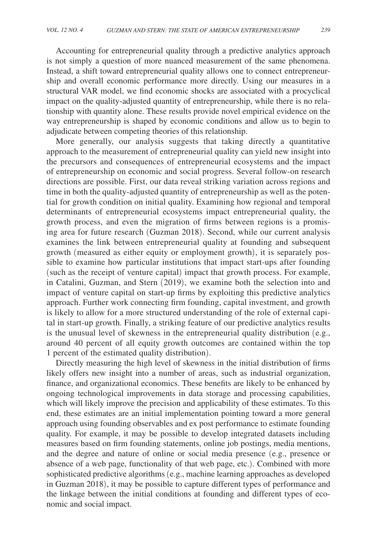Accounting for entrepreneurial quality through a predictive analytics approach is not simply a question of more nuanced measurement of the same phenomena. Instead, a shift toward entrepreneurial quality allows one to connect entrepreneurship and overall economic performance more directly. Using our measures in a structural VAR model, we find economic shocks are associated with a procyclical impact on the quality-adjusted quantity of entrepreneurship, while there is no relationship with quantity alone. These results provide novel empirical evidence on the way entrepreneurship is shaped by economic conditions and allow us to begin to adjudicate between competing theories of this relationship.

More generally, our analysis suggests that taking directly a quantitative approach to the measurement of entrepreneurial quality can yield new insight into the precursors and consequences of entrepreneurial ecosystems and the impact of entrepreneurship on economic and social progress. Several follow-on research directions are possible. First, our data reveal striking variation across regions and time in both the quality-adjusted quantity of entrepreneurship as well as the potential for growth condition on initial quality. Examining how regional and temporal determinants of entrepreneurial ecosystems impact entrepreneurial quality, the growth process, and even the migration of firms between regions is a promising area for future research (Guzman 2018). Second, while our current analysis examines the link between entrepreneurial quality at founding and subsequent growth (measured as either equity or employment growth), it is separately possible to examine how particular institutions that impact start-ups after founding (such as the receipt of venture capital) impact that growth process. For example, in Catalini, Guzman, and Stern (2019), we examine both the selection into and impact of venture capital on start-up firms by exploiting this predictive analytics approach. Further work connecting firm founding, capital investment, and growth is likely to allow for a more structured understanding of the role of external capital in start-up growth. Finally, a striking feature of our predictive analytics results is the unusual level of skewness in the entrepreneurial quality distribution (e.g., around 40 percent of all equity growth outcomes are contained within the top 1 percent of the estimated quality distribution).

Directly measuring the high level of skewness in the initial distribution of firms likely offers new insight into a number of areas, such as industrial organization, finance, and organizational economics. These benefits are likely to be enhanced by ongoing technological improvements in data storage and processing capabilities, which will likely improve the precision and applicability of these estimates. To this end, these estimates are an initial implementation pointing toward a more general approach using founding observables and ex post performance to estimate founding quality. For example, it may be possible to develop integrated datasets including measures based on firm founding statements, online job postings, media mentions, and the degree and nature of online or social media presence (e.g., presence or absence of a web page, functionality of that web page, etc.). Combined with more sophisticated predictive algorithms (e.g., machine learning approaches as developed in Guzman 2018), it may be possible to capture different types of performance and the linkage between the initial conditions at founding and different types of economic and social impact.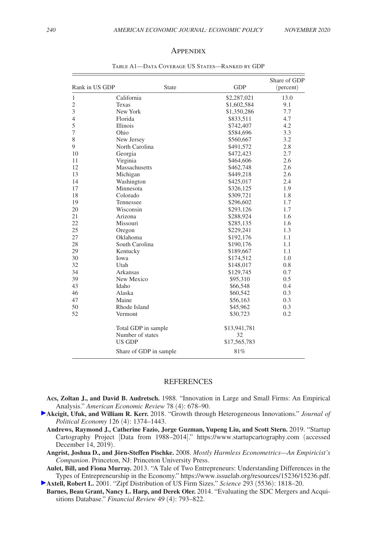### **APPENDIX**

<span id="page-28-0"></span>

| Rank in US GDP | State                  | <b>GDP</b>   | Share of GDP<br>(percent) |
|----------------|------------------------|--------------|---------------------------|
| 1              | California             | \$2,287,021  | 13.0                      |
| $\overline{2}$ | Texas                  | \$1,602,584  | 9.1                       |
| 3              | New York               | \$1,350,286  | 7.7                       |
| $\overline{4}$ | Florida                | \$833,511    | 4.7                       |
| 5              | Illinois               | \$742,407    | 4.2                       |
| 7              | Ohio                   | \$584,696    | 3.3                       |
| 8              | New Jersey             | \$560,667    | 3.2                       |
| 9              | North Carolina         | \$491,572    | 2.8                       |
| 10             | Georgia                | \$472,423    | 2.7                       |
| 11             | Virginia               | \$464,606    | 2.6                       |
| 12             | Massachusetts          | \$462,748    | 2.6                       |
| 13             | Michigan               | \$449,218    | 2.6                       |
| 14             | Washington             | \$425,017    | 2.4                       |
| 17             | Minnesota              | \$326,125    | 1.9                       |
| 18             | Colorado               | \$309,721    | 1.8                       |
| 19             | Tennessee              | \$296,602    | 1.7                       |
| 20             | Wisconsin              | \$293,126    | 1.7                       |
| 21             | Arizona                | \$288,924    | 1.6                       |
| 22             | Missouri               | \$285,135    | 1.6                       |
| 25             | Oregon                 | \$229,241    | 1.3                       |
| 27             | Oklahoma               | \$192,176    | 1.1                       |
| 28             | South Carolina         | \$190,176    | 1.1                       |
| 29             | Kentucky               | \$189,667    | 1.1                       |
| 30             | Iowa                   | \$174,512    | 1.0                       |
| 32             | Utah                   | \$148,017    | 0.8                       |
| 34             | Arkansas               | \$129,745    | 0.7                       |
| 39             | New Mexico             | \$95,310     | 0.5                       |
| 43             | Idaho                  | \$66,548     | 0.4                       |
| 46             | Alaska                 | \$60,542     | 0.3                       |
| 47             | Maine                  | \$56,163     | 0.3                       |
| 50             | Rhode Island           | \$45,962     | 0.3                       |
| 52             | Vermont                | \$30,723     | 0.2                       |
|                | Total GDP in sample    | \$13,941,781 |                           |
|                | Number of states       | 32           |                           |
|                | <b>US GDP</b>          | \$17,565,783 |                           |
|                | Share of GDP in sample | 81%          |                           |

Table A1—Data Coverage US States—Ranked by GDP

#### **REFERENCES**

- **Acs, Zoltan J., and David B. Audretsch.** 1988. "Innovation in Large and Small Firms: An Empirical Analysis." *American Economic Review* 78 (4): 678–90.
- **Akcigit, Ufuk, and William R. Kerr.** 2018. "Growth through Heterogeneous Innovations." *Journal of Political Economy* 126 (4): 1374–1443.
	- **Andrews, Raymond J., Catherine Fazio, Jorge Guzman, Yupeng Liu, and Scott Stern.** 2019. "Startup Cartography Project [Data from 1988–2014]." <https://www.startupcartography.com> (accessed December 14, 2019).
	- **Angrist, Joshua D., and Jörn-Steffen Pischke.** 2008. *Mostly Harmless Econometrics—An Empiricist's Companion*. Princeton, NJ: Princeton University Press.
- **Aulet, Bill, and Fiona Murray.** 2013. "A Tale of Two Entrepreneurs: Understanding Differences in the Types of Entrepreneurship in the Economy." [https://www.issuelab.org/resources/15236/15236.pdf.](https://www.issuelab.org/resources/15236/15236.pdf) **Axtell, Robert L.** 2001. "Zipf Distribution of US Firm Sizes." *Science* 293 (5536): 1818–20.
- **Barnes, Beau Grant, Nancy L. Harp, and Derek Oler.** 2014. "Evaluating the SDC Mergers and Acquisitions Database." *Financial Review* 49 (4): 793–822.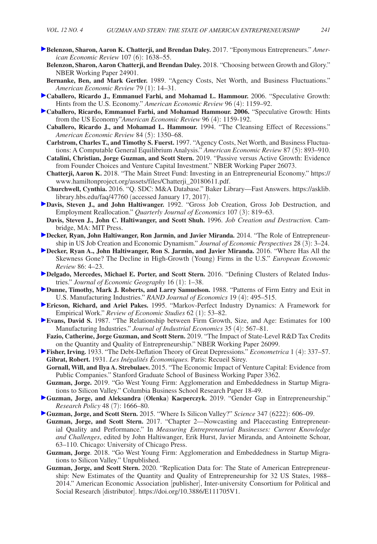- **Belenzon, Sharon, Aaron K. Chatterji, and Brendan Daley.** 2017. "Eponymous Entrepreneurs." *American Economic Review* 107 (6): 1638–55.
	- **Belenzon, Sharon, Aaron Chatterji, and Brendan Daley.** 2018. "Choosing between Growth and Glory." NBER Working Paper 24901.
	- **Bernanke, Ben, and Mark Gertler.** 1989. "Agency Costs, Net Worth, and Business Fluctuations." *American Economic Review* 79 (1): 14–31.
- **Caballero, Ricardo J., Emmanuel Farhi, and Mohamad L. Hammour.** 2006. "Speculative Growth: Hints from the U.S. Economy." *American Economic Review* 96 (4): 1159–92.
- **Caballero, Ricardo, Emmanuel Farhi, and Mohamad Hammour. 2006.** "Speculative Growth: Hints from the US Economy"*American Economic Review* 96 (4): 1159-192.
	- **Caballero, Ricardo J., and Mohamad L. Hammour.** 1994. "The Cleansing Effect of Recessions." *American Economic Review* 84 (5): 1350–68.
	- **Carlstrom, Charles T., and Timothy S. Fuerst.** 1997. "Agency Costs, Net Worth, and Business Fluctuations: A Computable General Equilibrium Analysis." *American Economic Review* 87 (5): 893–910.
	- **Catalini, Christian, Jorge Guzman, and Scott Stern.** 2019. "Passive versus Active Growth: Evidence from Founder Choices and Venture Capital Investment." NBER Working Paper 26073.
	- **Chatterji, Aaron K.** 2018. "The Main Street Fund: Investing in an Entrepreneurial Economy." [https://](https://www.hamiltonproject.org/assets/files/Chatterji_20180611.pdf) [www.hamiltonproject.org/assets/files/Chatterji\\_20180611.pdf.](https://www.hamiltonproject.org/assets/files/Chatterji_20180611.pdf)
	- **Churchwell, Cynthia.** 2016. "Q. SDC: M&A Database." Baker Library—Fast Answers. [https://asklib.](https://asklib.library.hbs.edu/faq/47760) [library.hbs.edu/faq/47760](https://asklib.library.hbs.edu/faq/47760) (accessed January 17, 2017).
- **Davis, Steven J., and John Haltiwanger.** 1992. "Gross Job Creation, Gross Job Destruction, and Employment Reallocation." *Quarterly Journal of Economics* 107 (3): 819–63.
- **Davis, Steven J., John C. Haltiwanger, and Scott Shuh.** 1996. *Job Creation and Destruction.* Cambridge, MA: MIT Press.
- **Decker, Ryan, John Haltiwanger, Ron Jarmin, and Javier Miranda.** 2014. "The Role of Entrepreneurship in US Job Creation and Economic Dynamism." *Journal of Economic Perspectives* 28 (3): 3–24.
- **Decker, Ryan A., John Haltiwanger, Ron S. Jarmin, and Javier Miranda.** 2016. "Where Has All the Skewness Gone? The Decline in High-Growth (Young) Firms in the U.S." *European Economic Review* 86: 4–23.
- **Delgado, Mercedes, Michael E. Porter, and Scott Stern.** 2016. "Defining Clusters of Related Industries." *Journal of Economic Geography* 16 (1): 1–38.
- **Dunne, Timothy, Mark J. Roberts, and Larry Samuelson.** 1988. "Patterns of Firm Entry and Exit in U.S. Manufacturing Industries." *RAND Journal of Economics* 19 (4): 495–515.
- **Ericson, Richard, and Ariel Pakes.** 1995. "Markov-Perfect Industry Dynamics: A Framework for Empirical Work." *Review of Economic Studies* 62 (1): 53–82.
- **Evans, David S.** 1987. "The Relationship between Firm Growth, Size, and Age: Estimates for 100 Manufacturing Industries." *Journal of Industrial Economics* 35 (4): 567–81.
- **Fazio, Catherine, Jorge Guzman, and Scott Stern.** 2019. "The Impact of State-Level R&D Tax Credits on the Quantity and Quality of Entrepreneurship." NBER Working Paper 26099.
- **Fisher, Irving.** 1933. "The Debt-Deflation Theory of Great Depressions." *Econometrica* 1 (4): 337–57. **Gibrat, Robert.** 1931. *Les Inégalités Économiques.* Paris: Recueil Sirey.
- **Gornall, Will, and Ilya A. Strebulaev.** 2015. "The Economic Impact of Venture Capital: Evidence from Public Companies." Stanford Graduate School of Business Working Paper 3362.
- **Guzman, Jorge.** 2019. "Go West Young Firm: Agglomeration and Embeddedness in Startup Migrations to Silicon Valley." Columbia Business School Research Paper 18-49.
- **Guzman, Jorge, and Aleksandra** (**Olenka**) **Kacperczyk.** 2019. "Gender Gap in Entrepreneurship." *Research Policy* 48 (7): 1666–80.
- **Guzman, Jorge, and Scott Stern.** 2015. "Where Is Silicon Valley?" *Science* 347 (6222): 606–09.
- **Guzman, Jorge, and Scott Stern.** 2017. "Chapter 2—Nowcasting and Placecasting Entrepreneurial Quality and Performance." In *Measuring Entrepreneurial Businesses: Current Knowledge and Challenges*, edited by John Haltiwanger, Erik Hurst, Javier Miranda, and Antoinette Schoar, 63–110. Chicago: University of Chicago Press.
- **Guzman, Jorge**. 2018. "Go West Young Firm: Agglomeration and Embeddedness in Startup Migrations to Silicon Valley." Unpublished.
- **Guzman, Jorge, and Scott Stern.** 2020. "Replication Data for: The State of American Entrepreneurship: New Estimates of the Quantity and Quality of Entrepreneurship for 32 US States, 1988– 2014." American Economic Association [publisher], Inter-university Consortium for Political and Social Research [distributor]. [https://doi.org/10.3886/E111705V1.](https://doi.org/10.3886/E111705V1)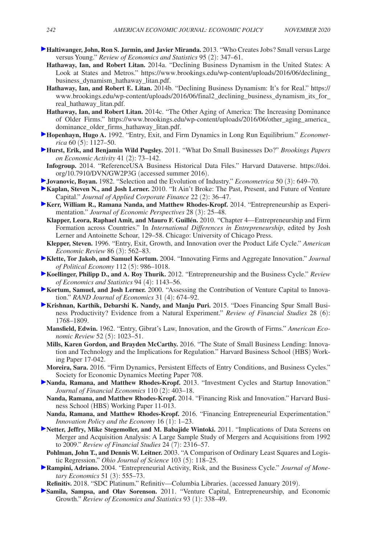- **Haltiwanger, John, Ron S. Jarmin, and Javier Miranda.** 2013. "Who Creates Jobs? Small versus Large versus Young." *Review of Economics and Statistics* 95 (2): 347–61.
	- **Hathaway, Ian, and Robert Litan.** 2014a. "Declining Business Dynamism in the United States: A Look at States and Metros." [https://www.brookings.edu/wp-content/uploads/2016/06/declining\\_](https://www.brookings.edu/wp-content/uploads/2016/06/declining_business_dynamism_hathaway_litan.pdf) [business\\_dynamism\\_hathaway\\_litan.pdf.](https://www.brookings.edu/wp-content/uploads/2016/06/declining_business_dynamism_hathaway_litan.pdf)
	- **Hathaway, Ian, and Robert E. Litan.** 2014b. "Declining Business Dynamism: It's for Real." https:// [www.brookings.edu/wp-content/uploads/2016/06/final2\\_declining\\_business\\_dynamism\\_its\\_for\\_](https://www.brookings.edu/wp-content/uploads/2016/06/final2_declining_business_dynamism_its_for_real_hathaway_litan.pdf) real\_hathaway\_litan.pdf.
	- **Hathaway, Ian, and Robert Litan.** 2014c. "The Other Aging of America: The Increasing Dominance of Older Firms." [https://www.brookings.edu/wp-content/uploads/2016/06/other\\_aging\\_america\\_](https://www.brookings.edu/wp-content/uploads/2016/06/other_aging_america_dominance_older_firms_hathaway_litan.pdf) [dominance\\_older\\_firms\\_hathaway\\_litan.pdf.](https://www.brookings.edu/wp-content/uploads/2016/06/other_aging_america_dominance_older_firms_hathaway_litan.pdf)
- **Hopenhayn, Hugo A.** 1992. "Entry, Exit, and Firm Dynamics in Long Run Equilibrium." *Econometrica* 60 (5): 1127–50.
- **Hurst, Erik, and Benjamin Wild Pugsley.** 2011. "What Do Small Businesses Do?" *Brookings Papers on Economic Activity* 41 (2): 73–142.
- **Infogroup.** 2014. "ReferenceUSA Business Historical Data Files." Harvard Dataverse. [https://doi.](https://doi.org/10.7910/DVN/GW2P3G) [org/10.7910/DVN/GW2P3G](https://doi.org/10.7910/DVN/GW2P3G) (accessed summer 2016).
- **Jovanovic, Boyan.** 1982. "Selection and the Evolution of Industry." *Econometrica* 50 (3): 649–70.
- **Kaplan, Steven N., and Josh Lerner.** 2010. "It Ain't Broke: The Past, Present, and Future of Venture Capital." *Journal of Applied Corporate Finance* 22 (2): 36–47.
- **Kerr, William R., Ramana Nanda, and Matthew Rhodes-Kropf.** 2014. "Entrepreneurship as Experimentation." *Journal of Economic Perspectives* 28 (3): 25–48.
- **Klapper, Leora, Raphael Amit, and Mauro F. Guillén.** 2010. "Chapter 4—Entrepreneurship and Firm Formation across Countries." In *International Differences in Entrepreneurship*, edited by Josh Lerner and Antoinette Schoar, 129–58. Chicago: University of Chicago Press.
- **Klepper, Steven.** 1996. "Entry, Exit, Growth, and Innovation over the Product Life Cycle." *American Economic Review* 86 (3): 562–83.
- **[K](http://pubs.aeaweb.org/action/showLinks?crossref=10.1086%2F422563&citationId=p_48)lette, Tor Jakob, and Samuel Kortum.** 2004. "Innovating Firms and Aggregate Innovation." *Journal of Political Economy* 112 (5): 986–1018.
- **[K](http://pubs.aeaweb.org/action/showLinks?crossref=10.1162%2FREST_a_00224&citationId=p_49)oellinger, Philipp D., and A. Roy Thurik.** 2012. "Entrepreneurship and the Business Cycle." *Review of Economics and Statistics* 94 (4): 1143–56.
- **[K](http://pubs.aeaweb.org/action/showLinks?crossref=10.2307%2F2696354&citationId=p_50)ortum, Samuel, and Josh Lerner.** 2000. "Assessing the Contribution of Venture Capital to Innovation." *RAND Journal of Economics* 31 (4): 674–92.
- **[K](http://pubs.aeaweb.org/action/showLinks?crossref=10.1093%2Frfs%2Fhhu087&citationId=p_51)rishnan, Karthik, Debarshi K. Nandy, and Manju Puri.** 2015. "Does Financing Spur Small Business Productivity? Evidence from a Natural Experiment." *Review of Financial Studies* 28 (6): 1768–1809.
- **Mansfield, Edwin.** 1962. "Entry, Gibrat's Law, Innovation, and the Growth of Firms." *American Economic Review* 52 (5): 1023–51.
- **Mills, Karen Gordon, and Brayden McCarthy.** 2016. "The State of Small Business Lending: Innovation and Technology and the Implications for Regulation." Harvard Business School (HBS) Working Paper 17-042.
- **Moreira, Sara.** 2016. "Firm Dynamics, Persistent Effects of Entry Conditions, and Business Cycles." Society for Economic Dynamics Meeting Paper 708.
- **[N](http://pubs.aeaweb.org/action/showLinks?crossref=10.1016%2Fj.jfineco.2013.07.001&citationId=p_55)anda, Ramana, and Matthew Rhodes-Kropf.** 2013. "Investment Cycles and Startup Innovation." *Journal of Financial Economics* 110 (2): 403–18.
	- **Nanda, Ramana, and Matthew Rhodes-Kropf.** 2014. "Financing Risk and Innovation." Harvard Business School (HBS) Working Paper 11-013.
- **Nanda, Ramana, and Matthew Rhodes-Kropf.** 2016. "Financing Entrepreneurial Experimentation." *Innovation Policy and the Economy* 16 (1): 1–23.
- **[N](http://pubs.aeaweb.org/action/showLinks?crossref=10.1093%2Frfs%2Fhhr010&citationId=p_58)etter, Jeffry, Mike Stegemoller, and M. Babajide Wintoki.** 2011. "Implications of Data Screens on Merger and Acquisition Analysis: A Large Sample Study of Mergers and Acquisitions from 1992 to 2009." *Review of Financial Studies* 24 (7): 2316–57.
- **Pohlman, John T., and Dennis W. Leitner.** 2003. "A Comparison of Ordinary Least Squares and Logistic Regression." *Ohio Journal of Science* 103 (5): 118–25.
- **[R](http://pubs.aeaweb.org/action/showLinks?crossref=10.1016%2Fj.jmoneco.2003.06.003&citationId=p_60)ampini, Adriano.** 2004. "Entrepreneurial Activity, Risk, and the Business Cycle." *Journal of Monetary Economics* 51 (3): 555–73.
- **Refinitiv.** 2018. "SDC Platinum." Refinitiv—Columbia Libraries. (accessed January 2019).
- **[S](http://pubs.aeaweb.org/action/showLinks?crossref=10.1162%2FREST_a_00066&citationId=p_62)amila, Sampsa, and Olav Sorenson.** 2011. "Venture Capital, Entrepreneurship, and Economic Growth." *Review of Economics and Statistics* 93 (1): 338–49.